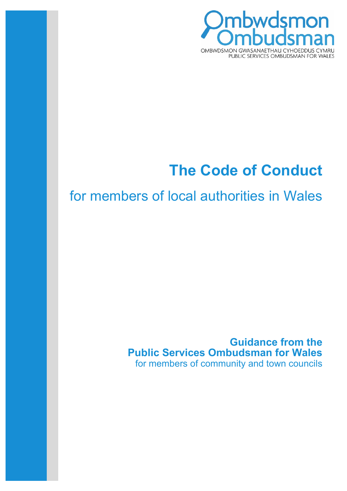

# **The Code of Conduct**

# for members of local authorities in Wales

# **Guidance from the Public Services Ombudsman for Wales** for members of community and town councils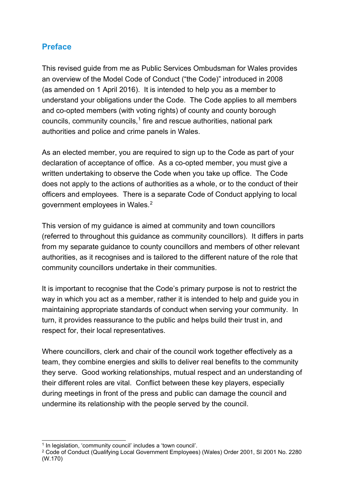# **Preface**

This revised guide from me as Public Services Ombudsman for Wales provides an overview of the Model Code of Conduct ("the Code)" introduced in 2008 (as amended on 1 April 2016). It is intended to help you as a member to understand your obligations under the Code. The Code applies to all members and co-opted members (with voting rights) of county and county borough councils, community councils, [1](#page-1-0) fire and rescue authorities, national park authorities and police and crime panels in Wales.

As an elected member, you are required to sign up to the Code as part of your declaration of acceptance of office. As a co-opted member, you must give a written undertaking to observe the Code when you take up office. The Code does not apply to the actions of authorities as a whole, or to the conduct of their officers and employees. There is a separate Code of Conduct applying to local government employees in Wales. [2](#page-1-1)

This version of my guidance is aimed at community and town councillors (referred to throughout this guidance as community councillors). It differs in parts from my separate guidance to county councillors and members of other relevant authorities, as it recognises and is tailored to the different nature of the role that community councillors undertake in their communities.

It is important to recognise that the Code's primary purpose is not to restrict the way in which you act as a member, rather it is intended to help and guide you in maintaining appropriate standards of conduct when serving your community. In turn, it provides reassurance to the public and helps build their trust in, and respect for, their local representatives.

Where councillors, clerk and chair of the council work together effectively as a team, they combine energies and skills to deliver real benefits to the community they serve. Good working relationships, mutual respect and an understanding of their different roles are vital. Conflict between these key players, especially during meetings in front of the press and public can damage the council and undermine its relationship with the people served by the council.

<span id="page-1-0"></span><sup>1</sup> In legislation, 'community council' includes a 'town council'.

<span id="page-1-1"></span><sup>2</sup> Code of Conduct (Qualifying Local Government Employees) (Wales) Order 2001, SI 2001 No. 2280 (W.170)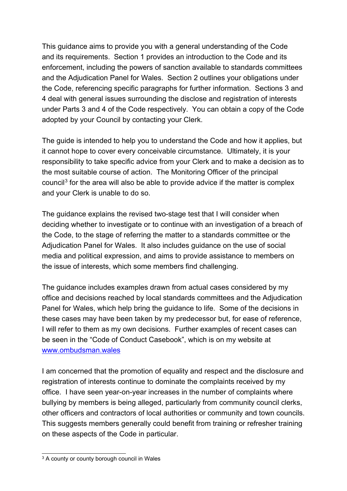This guidance aims to provide you with a general understanding of the Code and its requirements. Section 1 provides an introduction to the Code and its enforcement, including the powers of sanction available to standards committees and the Adjudication Panel for Wales. Section 2 outlines your obligations under the Code, referencing specific paragraphs for further information. Sections 3 and 4 deal with general issues surrounding the disclose and registration of interests under Parts 3 and 4 of the Code respectively. You can obtain a copy of the Code adopted by your Council by contacting your Clerk.

The guide is intended to help you to understand the Code and how it applies, but it cannot hope to cover every conceivable circumstance. Ultimately, it is your responsibility to take specific advice from your Clerk and to make a decision as to the most suitable course of action. The Monitoring Officer of the principal council<sup>[3](#page-2-0)</sup> for the area will also be able to provide advice if the matter is complex and your Clerk is unable to do so.

The guidance explains the revised two-stage test that I will consider when deciding whether to investigate or to continue with an investigation of a breach of the Code, to the stage of referring the matter to a standards committee or the Adjudication Panel for Wales. It also includes guidance on the use of social media and political expression, and aims to provide assistance to members on the issue of interests, which some members find challenging.

The guidance includes examples drawn from actual cases considered by my office and decisions reached by local standards committees and the Adjudication Panel for Wales, which help bring the guidance to life. Some of the decisions in these cases may have been taken by my predecessor but, for ease of reference, I will refer to them as my own decisions. Further examples of recent cases can be seen in the "Code of Conduct Casebook", which is on my website at [www.ombudsman.](http://www.ombudsman./)[wales](http://www.ombudsman-wales.org.uk/)

I am concerned that the promotion of equality and respect and the disclosure and registration of interests continue to dominate the complaints received by my office. I have seen year-on-year increases in the number of complaints where bullying by members is being alleged, particularly from community council clerks, other officers and contractors of local authorities or community and town councils. This suggests members generally could benefit from training or refresher training on these aspects of the Code in particular.

<span id="page-2-0"></span><sup>&</sup>lt;sup>3</sup> A county or county borough council in Wales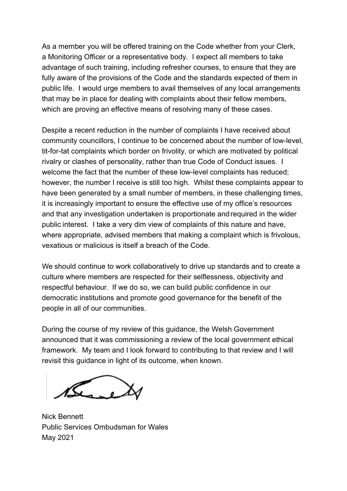As a member you will be offered training on the Code whether from your Clerk, a Monitoring Officer or a representative body. I expect all members to take advantage of such training, including refresher courses, to ensure that they are fully aware of the provisions of the Code and the standards expected of them in public life. I would urge members to avail themselves of any local arrangements that may be in place for dealing with complaints about their fellow members, which are proving an effective means of resolving many of these cases.

Despite a recent reduction in the number of complaints I have received about community councillors, I continue to be concerned about the number of low-level, tit-for-tat complaints which border on frivolity, or which are motivated by political rivalry or clashes of personality, rather than true Code of Conduct issues. I welcome the fact that the number of these low-level complaints has reduced; however, the number I receive is still too high. Whilst these complaints appear to have been generated by a small number of members, in these challenging times, it is increasingly important to ensure the effective use of my office's resources and that any investigation undertaken is proportionate andrequired in the wider public interest. I take a very dim view of complaints of this nature and have, where appropriate, advised members that making a complaint which is frivolous, vexatious or malicious is itself a breach of the Code.

We should continue to work collaboratively to drive up standards and to create a culture where members are respected for their selflessness, objectivity and respectful behaviour. If we do so, we can build public confidence in our democratic institutions and promote good governance for the benefit of the people in all of our communities.

During the course of my review of this guidance, the Welsh Government announced that it was commissioning a review of the local government ethical framework. My team and I look forward to contributing to that review and I will revisit this guidance in light of its outcome, when known.

Nick Bennett Public Services Ombudsman for Wales May 2021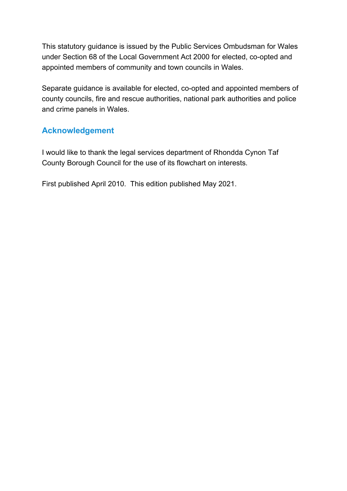This statutory guidance is issued by the Public Services Ombudsman for Wales under Section 68 of the Local Government Act 2000 for elected, co-opted and appointed members of community and town councils in Wales.

Separate guidance is available for elected, co-opted and appointed members of county councils, fire and rescue authorities, national park authorities and police and crime panels in Wales.

# **Acknowledgement**

I would like to thank the legal services department of Rhondda Cynon Taf County Borough Council for the use of its flowchart on interests.

First published April 2010. This edition published May 2021.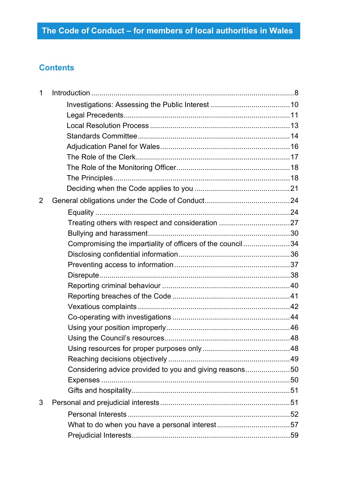# **Contents**

| $\mathbf 1$    |                                                            |  |
|----------------|------------------------------------------------------------|--|
|                |                                                            |  |
|                |                                                            |  |
|                |                                                            |  |
|                |                                                            |  |
|                |                                                            |  |
|                |                                                            |  |
|                |                                                            |  |
|                |                                                            |  |
|                |                                                            |  |
| $\overline{2}$ |                                                            |  |
|                |                                                            |  |
|                |                                                            |  |
|                |                                                            |  |
|                | Compromising the impartiality of officers of the council34 |  |
|                |                                                            |  |
|                |                                                            |  |
|                |                                                            |  |
|                |                                                            |  |
|                |                                                            |  |
|                |                                                            |  |
|                |                                                            |  |
|                |                                                            |  |
|                |                                                            |  |
|                |                                                            |  |
|                |                                                            |  |
|                | Considering advice provided to you and giving reasons50    |  |
|                |                                                            |  |
|                |                                                            |  |
| 3              |                                                            |  |
|                |                                                            |  |
|                |                                                            |  |
|                |                                                            |  |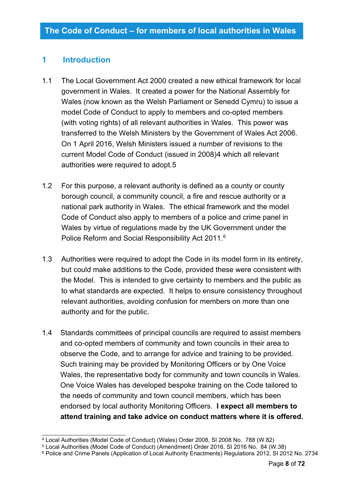## <span id="page-7-0"></span>**1 Introduction**

- 1.1 The Local Government Act 2000 created a new ethical framework for local government in Wales. It created a power for the National Assembly for Wales (now known as the Welsh Parliament or Senedd Cymru) to issue a model Code of Conduct to apply to members and co-opted members (with voting rights) of all relevant authorities in Wales. This power was transferred to the Welsh Ministers by the Government of Wales Act 2006. On 1 April 2016, Welsh Ministers issued a number of revisions to the current Model Code of Conduct (issued in 2008)[4](#page-7-1) which all relevant authorities were required to adopt.[5](#page-7-2)
- 1.2 For this purpose, a relevant authority is defined as a county or county borough council, a community council, a fire and rescue authority or a national park authority in Wales. The ethical framework and the model Code of Conduct also apply to members of a police and crime panel in Wales by virtue of regulations made by the UK Government under the Police Reform and Social Responsibility Act 2011. [6](#page-7-3)
- 1.3 Authorities were required to adopt the Code in its model form in its entirety, but could make additions to the Code, provided these were consistent with the Model. This is intended to give certainty to members and the public as to what standards are expected. It helps to ensure consistency throughout relevant authorities, avoiding confusion for members on more than one authority and for the public.
- 1.4 Standards committees of principal councils are required to assist members and co-opted members of community and town councils in their area to observe the Code, and to arrange for advice and training to be provided. Such training may be provided by Monitoring Officers or by One Voice Wales, the representative body for community and town councils in Wales. One Voice Wales has developed bespoke training on the Code tailored to the needs of community and town council members, which has been endorsed by local authority Monitoring Officers. **I expect all members to attend training and take advice on conduct matters where it is offered.**

<span id="page-7-1"></span><sup>4</sup> Local Authorities (Model Code of Conduct) (Wales) Order 2008, SI 2008 No. 788 (W.82)

<span id="page-7-2"></span><sup>5</sup> Local Authorities (Model Code of Conduct) (Amendment) Order 2016, SI 2016 No. 84 (W.38)

<span id="page-7-3"></span><sup>6</sup> Police and Crime Panels (Application of Local Authority Enactments) Regulations 2012, SI 2012 No. 2734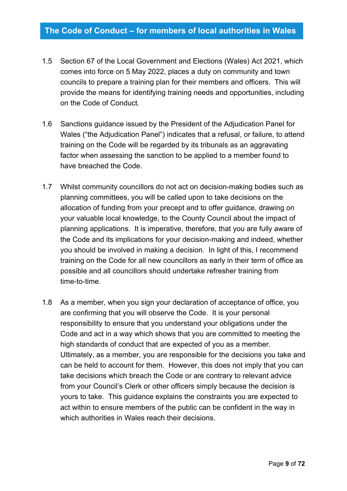- 1.5 Section 67 of the Local Government and Elections (Wales) Act 2021, which comes into force on 5 May 2022, places a duty on community and town councils to prepare a training plan for their members and officers. This will provide the means for identifying training needs and opportunities, including on the Code of Conduct.
- 1.6 Sanctions guidance issued by the President of the Adjudication Panel for Wales ("the Adjudication Panel") indicates that a refusal, or failure, to attend training on the Code will be regarded by its tribunals as an aggravating factor when assessing the sanction to be applied to a member found to have breached the Code.
- 1.7 Whilst community councillors do not act on decision-making bodies such as planning committees, you will be called upon to take decisions on the allocation of funding from your precept and to offer guidance, drawing on your valuable local knowledge, to the County Council about the impact of planning applications. It is imperative, therefore, that you are fully aware of the Code and its implications for your decision-making and indeed, whether you should be involved in making a decision. In light of this, I recommend training on the Code for all new councillors as early in their term of office as possible and all councillors should undertake refresher training from time-to-time.
- 1.8 As a member, when you sign your declaration of acceptance of office, you are confirming that you will observe the Code. It is your personal responsibility to ensure that you understand your obligations under the Code and act in a way which shows that you are committed to meeting the high standards of conduct that are expected of you as a member. Ultimately, as a member, you are responsible for the decisions you take and can be held to account for them. However, this does not imply that you can take decisions which breach the Code or are contrary to relevant advice from your Council's Clerk or other officers simply because the decision is yours to take. This guidance explains the constraints you are expected to act within to ensure members of the public can be confident in the way in which authorities in Wales reach their decisions.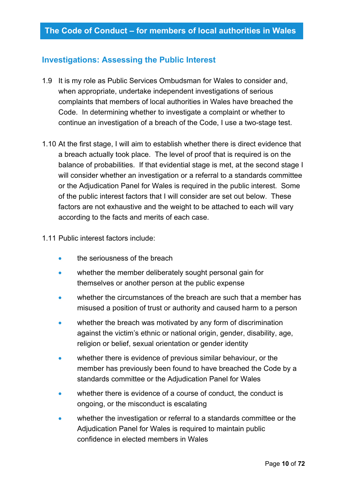## <span id="page-9-0"></span>**Investigations: Assessing the Public Interest**

- 1.9 It is my role as Public Services Ombudsman for Wales to consider and, when appropriate, undertake independent investigations of serious complaints that members of local authorities in Wales have breached the Code. In determining whether to investigate a complaint or whether to continue an investigation of a breach of the Code, I use a two-stage test.
- 1.10 At the first stage, I will aim to establish whether there is direct evidence that a breach actually took place. The level of proof that is required is on the balance of probabilities. If that evidential stage is met, at the second stage I will consider whether an investigation or a referral to a standards committee or the Adjudication Panel for Wales is required in the public interest. Some of the public interest factors that I will consider are set out below. These factors are not exhaustive and the weight to be attached to each will vary according to the facts and merits of each case.

#### 1.11 Public interest factors include:

- the seriousness of the breach
- whether the member deliberately sought personal gain for themselves or another person at the public expense
- whether the circumstances of the breach are such that a member has misused a position of trust or authority and caused harm to a person
- whether the breach was motivated by any form of discrimination against the victim's ethnic or national origin, gender, disability, age, religion or belief, sexual orientation or gender identity
- whether there is evidence of previous similar behaviour, or the member has previously been found to have breached the Code by a standards committee or the Adjudication Panel for Wales
- whether there is evidence of a course of conduct, the conduct is ongoing, or the misconduct is escalating
- whether the investigation or referral to a standards committee or the Adjudication Panel for Wales is required to maintain public confidence in elected members in Wales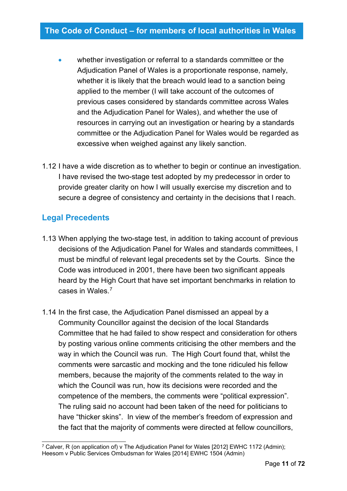- whether investigation or referral to a standards committee or the Adjudication Panel of Wales is a proportionate response, namely, whether it is likely that the breach would lead to a sanction being applied to the member (I will take account of the outcomes of previous cases considered by standards committee across Wales and the Adjudication Panel for Wales), and whether the use of resources in carrying out an investigation or hearing by a standards committee or the Adjudication Panel for Wales would be regarded as excessive when weighed against any likely sanction.
- 1.12 I have a wide discretion as to whether to begin or continue an investigation. I have revised the two-stage test adopted by my predecessor in order to provide greater clarity on how I will usually exercise my discretion and to secure a degree of consistency and certainty in the decisions that I reach.

## <span id="page-10-0"></span>**Legal Precedents**

- 1.13 When applying the two-stage test, in addition to taking account of previous decisions of the Adjudication Panel for Wales and standards committees, I must be mindful of relevant legal precedents set by the Courts. Since the Code was introduced in 2001, there have been two significant appeals heard by the High Court that have set important benchmarks in relation to cases in Wales. [7](#page-10-1)
- 1.14 In the first case, the Adjudication Panel dismissed an appeal by a Community Councillor against the decision of the local Standards Committee that he had failed to show respect and consideration for others by posting various online comments criticising the other members and the way in which the Council was run. The High Court found that, whilst the comments were sarcastic and mocking and the tone ridiculed his fellow members, because the majority of the comments related to the way in which the Council was run, how its decisions were recorded and the competence of the members, the comments were "political expression". The ruling said no account had been taken of the need for politicians to have "thicker skins". In view of the member's freedom of expression and the fact that the majority of comments were directed at fellow councillors,

<span id="page-10-1"></span><sup>&</sup>lt;sup>7</sup> Calver, R (on application of) v The Adjudication Panel for Wales [2012] EWHC 1172 (Admin); Heesom v Public Services Ombudsman for Wales [2014] EWHC 1504 (Admin)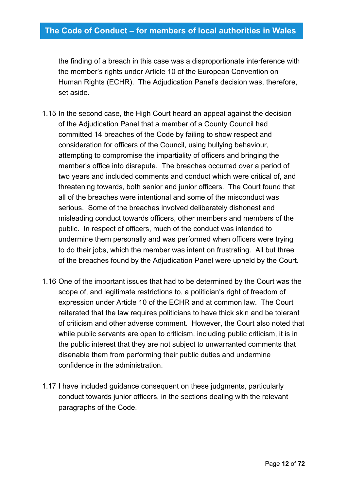the finding of a breach in this case was a disproportionate interference with the member's rights under Article 10 of the European Convention on Human Rights (ECHR). The Adjudication Panel's decision was, therefore, set aside.

- 1.15 In the second case, the High Court heard an appeal against the decision of the Adjudication Panel that a member of a County Council had committed 14 breaches of the Code by failing to show respect and consideration for officers of the Council, using bullying behaviour, attempting to compromise the impartiality of officers and bringing the member's office into disrepute. The breaches occurred over a period of two years and included comments and conduct which were critical of, and threatening towards, both senior and junior officers. The Court found that all of the breaches were intentional and some of the misconduct was serious. Some of the breaches involved deliberately dishonest and misleading conduct towards officers, other members and members of the public. In respect of officers, much of the conduct was intended to undermine them personally and was performed when officers were trying to do their jobs, which the member was intent on frustrating. All but three of the breaches found by the Adjudication Panel were upheld by the Court.
- 1.16 One of the important issues that had to be determined by the Court was the scope of, and legitimate restrictions to, a politician's right of freedom of expression under Article 10 of the ECHR and at common law. The Court reiterated that the law requires politicians to have thick skin and be tolerant of criticism and other adverse comment. However, the Court also noted that while public servants are open to criticism, including public criticism, it is in the public interest that they are not subject to unwarranted comments that disenable them from performing their public duties and undermine confidence in the administration.
- 1.17 I have included guidance consequent on these judgments, particularly conduct towards junior officers, in the sections dealing with the relevant paragraphs of the Code.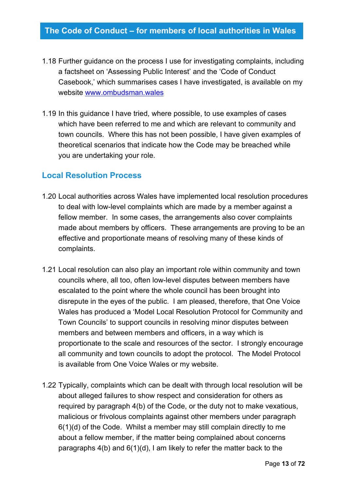- 1.18 Further guidance on the process I use for investigating complaints, including a factsheet on 'Assessing Public Interest' and the 'Code of Conduct Casebook,' which summarises cases I have investigated, is available on my website [www.ombudsman.wales](http://www.ombudsman.wales/)
- 1.19 In this guidance I have tried, where possible, to use examples of cases which have been referred to me and which are relevant to community and town councils. Where this has not been possible, I have given examples of theoretical scenarios that indicate how the Code may be breached while you are undertaking your role.

## <span id="page-12-0"></span>**Local Resolution Process**

- 1.20 Local authorities across Wales have implemented local resolution procedures to deal with low-level complaints which are made by a member against a fellow member. In some cases, the arrangements also cover complaints made about members by officers. These arrangements are proving to be an effective and proportionate means of resolving many of these kinds of complaints.
- 1.21 Local resolution can also play an important role within community and town councils where, all too, often low-level disputes between members have escalated to the point where the whole council has been brought into disrepute in the eyes of the public. I am pleased, therefore, that One Voice Wales has produced a 'Model Local Resolution Protocol for Community and Town Councils' to support councils in resolving minor disputes between members and between members and officers, in a way which is proportionate to the scale and resources of the sector. I strongly encourage all community and town councils to adopt the protocol. The Model Protocol is available from One Voice Wales or my website.
- 1.22 Typically, complaints which can be dealt with through local resolution will be about alleged failures to show respect and consideration for others as required by paragraph 4(b) of the Code, or the duty not to make vexatious, malicious or frivolous complaints against other members under paragraph 6(1)(d) of the Code. Whilst a member may still complain directly to me about a fellow member, if the matter being complained about concerns paragraphs 4(b) and 6(1)(d), I am likely to refer the matter back to the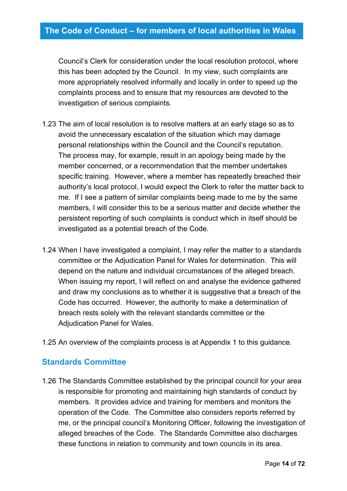Council's Clerk for consideration under the local resolution protocol, where this has been adopted by the Council. In my view, such complaints are more appropriately resolved informally and locally in order to speed up the complaints process and to ensure that my resources are devoted to the investigation of serious complaints.

- 1.23 The aim of local resolution is to resolve matters at an early stage so as to avoid the unnecessary escalation of the situation which may damage personal relationships within the Council and the Council's reputation. The process may, for example, result in an apology being made by the member concerned, or a recommendation that the member undertakes specific training. However, where a member has repeatedly breached their authority's local protocol, I would expect the Clerk to refer the matter back to me. If I see a pattern of similar complaints being made to me by the same members, I will consider this to be a serious matter and decide whether the persistent reporting of such complaints is conduct which in itself should be investigated as a potential breach of the Code.
- 1.24 When I have investigated a complaint, I may refer the matter to a standards committee or the Adjudication Panel for Wales for determination. This will depend on the nature and individual circumstances of the alleged breach. When issuing my report, I will reflect on and analyse the evidence gathered and draw my conclusions as to whether it is suggestive that a breach of the Code has occurred. However, the authority to make a determination of breach rests solely with the relevant standards committee or the Adiudication Panel for Wales.
- 1.25 An overview of the complaints process is at Appendix 1 to this guidance.

## <span id="page-13-0"></span>**Standards Committee**

1.26 The Standards Committee established by the principal council for your area is responsible for promoting and maintaining high standards of conduct by members. It provides advice and training for members and monitors the operation of the Code. The Committee also considers reports referred by me, or the principal council's Monitoring Officer, following the investigation of alleged breaches of the Code. The Standards Committee also discharges these functions in relation to community and town councils in its area.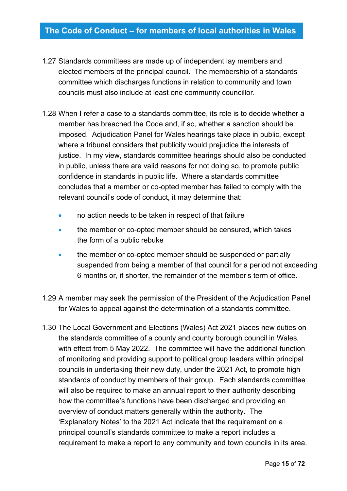- 1.27 Standards committees are made up of independent lay members and elected members of the principal council. The membership of a standards committee which discharges functions in relation to community and town councils must also include at least one community councillor.
- 1.28 When I refer a case to a standards committee, its role is to decide whether a member has breached the Code and, if so, whether a sanction should be imposed. Adjudication Panel for Wales hearings take place in public, except where a tribunal considers that publicity would prejudice the interests of justice. In my view, standards committee hearings should also be conducted in public, unless there are valid reasons for not doing so, to promote public confidence in standards in public life. Where a standards committee concludes that a member or co-opted member has failed to comply with the relevant council's code of conduct, it may determine that:
	- no action needs to be taken in respect of that failure
	- the member or co-opted member should be censured, which takes the form of a public rebuke
	- the member or co-opted member should be suspended or partially suspended from being a member of that council for a period not exceeding 6 months or, if shorter, the remainder of the member's term of office.
- 1.29 A member may seek the permission of the President of the Adjudication Panel for Wales to appeal against the determination of a standards committee.
- 1.30 The Local Government and Elections (Wales) Act 2021 places new duties on the standards committee of a county and county borough council in Wales, with effect from 5 May 2022. The committee will have the additional function of monitoring and providing support to political group leaders within principal councils in undertaking their new duty, under the 2021 Act, to promote high standards of conduct by members of their group. Each standards committee will also be required to make an annual report to their authority describing how the committee's functions have been discharged and providing an overview of conduct matters generally within the authority. The 'Explanatory Notes' to the 2021 Act indicate that the requirement on a principal council's standards committee to make a report includes a requirement to make a report to any community and town councils in its area.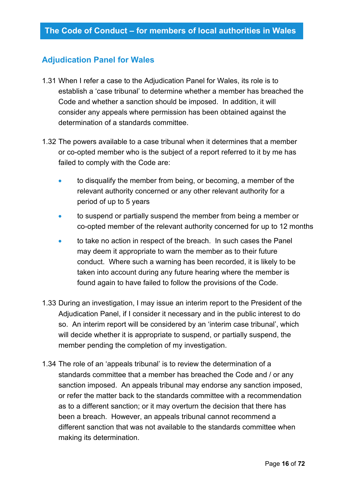## <span id="page-15-0"></span>**Adjudication Panel for Wales**

- 1.31 When I refer a case to the Adjudication Panel for Wales, its role is to establish a 'case tribunal' to determine whether a member has breached the Code and whether a sanction should be imposed. In addition, it will consider any appeals where permission has been obtained against the determination of a standards committee.
- 1.32 The powers available to a case tribunal when it determines that a member or co-opted member who is the subject of a report referred to it by me has failed to comply with the Code are:
	- to disqualify the member from being, or becoming, a member of the relevant authority concerned or any other relevant authority for a period of up to 5 years
	- to suspend or partially suspend the member from being a member or co-opted member of the relevant authority concerned for up to 12 months
	- to take no action in respect of the breach. In such cases the Panel may deem it appropriate to warn the member as to their future conduct. Where such a warning has been recorded, it is likely to be taken into account during any future hearing where the member is found again to have failed to follow the provisions of the Code.
- 1.33 During an investigation, I may issue an interim report to the President of the Adjudication Panel, if I consider it necessary and in the public interest to do so. An interim report will be considered by an 'interim case tribunal', which will decide whether it is appropriate to suspend, or partially suspend, the member pending the completion of my investigation.
- 1.34 The role of an 'appeals tribunal' is to review the determination of a standards committee that a member has breached the Code and / or any sanction imposed. An appeals tribunal may endorse any sanction imposed, or refer the matter back to the standards committee with a recommendation as to a different sanction; or it may overturn the decision that there has been a breach. However, an appeals tribunal cannot recommend a different sanction that was not available to the standards committee when making its determination.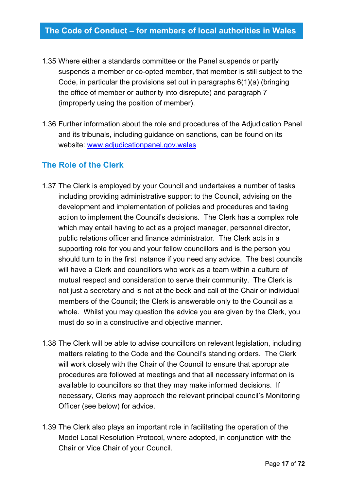- 1.35 Where either a standards committee or the Panel suspends or partly suspends a member or co-opted member, that member is still subject to the Code, in particular the provisions set out in paragraphs 6(1)(a) (bringing the office of member or authority into disrepute) and paragraph 7 (improperly using the position of member).
- 1.36 Further information about the role and procedures of the Adjudication Panel and its tribunals, including guidance on sanctions, can be found on its website: [www.adjudicationpanel.gov.wales](http://www.adjudicationpanel.gov.wales/)

## <span id="page-16-0"></span>**The Role of the Clerk**

- 1.37 The Clerk is employed by your Council and undertakes a number of tasks including providing administrative support to the Council, advising on the development and implementation of policies and procedures and taking action to implement the Council's decisions. The Clerk has a complex role which may entail having to act as a project manager, personnel director, public relations officer and finance administrator. The Clerk acts in a supporting role for you and your fellow councillors and is the person you should turn to in the first instance if you need any advice. The best councils will have a Clerk and councillors who work as a team within a culture of mutual respect and consideration to serve their community. The Clerk is not just a secretary and is not at the beck and call of the Chair or individual members of the Council; the Clerk is answerable only to the Council as a whole. Whilst you may question the advice you are given by the Clerk, you must do so in a constructive and objective manner.
- 1.38 The Clerk will be able to advise councillors on relevant legislation, including matters relating to the Code and the Council's standing orders. The Clerk will work closely with the Chair of the Council to ensure that appropriate procedures are followed at meetings and that all necessary information is available to councillors so that they may make informed decisions. If necessary, Clerks may approach the relevant principal council's Monitoring Officer (see below) for advice.
- 1.39 The Clerk also plays an important role in facilitating the operation of the Model Local Resolution Protocol, where adopted, in conjunction with the Chair or Vice Chair of your Council.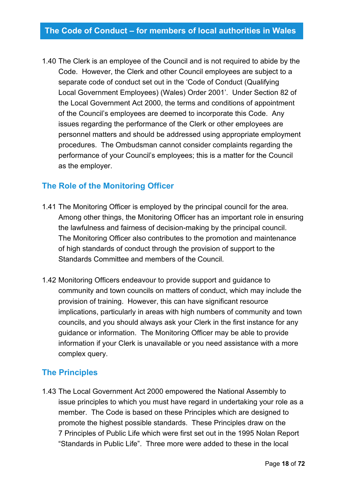1.40 The Clerk is an employee of the Council and is not required to abide by the Code. However, the Clerk and other Council employees are subject to a separate code of conduct set out in the 'Code of Conduct (Qualifying Local Government Employees) (Wales) Order 2001'. Under Section 82 of the Local Government Act 2000, the terms and conditions of appointment of the Council's employees are deemed to incorporate this Code. Any issues regarding the performance of the Clerk or other employees are personnel matters and should be addressed using appropriate employment procedures. The Ombudsman cannot consider complaints regarding the performance of your Council's employees; this is a matter for the Council as the employer.

## <span id="page-17-0"></span>**The Role of the Monitoring Officer**

- 1.41 The Monitoring Officer is employed by the principal council for the area. Among other things, the Monitoring Officer has an important role in ensuring the lawfulness and fairness of decision-making by the principal council. The Monitoring Officer also contributes to the promotion and maintenance of high standards of conduct through the provision of support to the Standards Committee and members of the Council.
- 1.42 Monitoring Officers endeavour to provide support and guidance to community and town councils on matters of conduct, which may include the provision of training. However, this can have significant resource implications, particularly in areas with high numbers of community and town councils, and you should always ask your Clerk in the first instance for any guidance or information. The Monitoring Officer may be able to provide information if your Clerk is unavailable or you need assistance with a more complex query.

## <span id="page-17-1"></span>**The Principles**

1.43 The Local Government Act 2000 empowered the National Assembly to issue principles to which you must have regard in undertaking your role as a member. The Code is based on these Principles which are designed to promote the highest possible standards. These Principles draw on the 7 Principles of Public Life which were first set out in the 1995 Nolan Report "Standards in Public Life". Three more were added to these in the local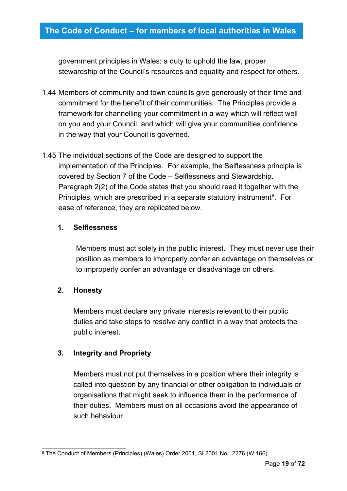government principles in Wales: a duty to uphold the law, proper stewardship of the Council's resources and equality and respect for others.

- 1.44 Members of community and town councils give generously of their time and commitment for the benefit of their communities. The Principles provide a framework for channelling your commitment in a way which will reflect well on you and your Council, and which will give your communities confidence in the way that your Council is governed.
- 1.45 The individual sections of the Code are designed to support the implementation of the Principles. For example, the Selflessness principle is covered by Section 7 of the Code – Selflessness and Stewardship. Paragraph 2(2) of the Code states that you should read it together with the Principles, which are prescribed in a separate statutory instrument<sup>[8](#page-18-0)</sup>. For ease of reference, they are replicated below.

## **1. Selflessness**

Members must act solely in the public interest. They must never use their position as members to improperly confer an advantage on themselves or to improperly confer an advantage or disadvantage on others.

#### **2. Honesty**

Members must declare any private interests relevant to their public duties and take steps to resolve any conflict in a way that protects the public interest.

#### **3. Integrity and Propriety**

Members must not put themselves in a position where their integrity is called into question by any financial or other obligation to individuals or organisations that might seek to influence them in the performance of their duties. Members must on all occasions avoid the appearance of such behaviour.

<span id="page-18-0"></span><sup>8</sup> The Conduct of Members (Principles) (Wales) Order 2001, SI 2001 No. 2276 (W.166)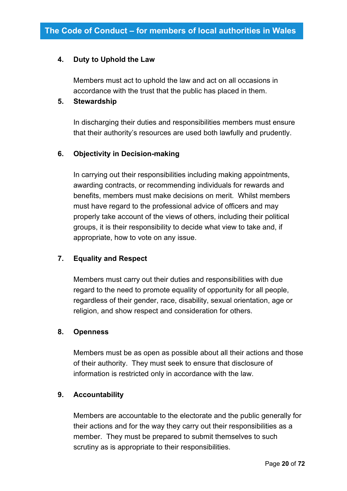#### **4. Duty to Uphold the Law**

Members must act to uphold the law and act on all occasions in accordance with the trust that the public has placed in them.

#### **5. Stewardship**

In discharging their duties and responsibilities members must ensure that their authority's resources are used both lawfully and prudently.

#### **6. Objectivity in Decision-making**

In carrying out their responsibilities including making appointments, awarding contracts, or recommending individuals for rewards and benefits, members must make decisions on merit. Whilst members must have regard to the professional advice of officers and may properly take account of the views of others, including their political groups, it is their responsibility to decide what view to take and, if appropriate, how to vote on any issue.

#### **7. Equality and Respect**

Members must carry out their duties and responsibilities with due regard to the need to promote equality of opportunity for all people, regardless of their gender, race, disability, sexual orientation, age or religion, and show respect and consideration for others.

#### **8. Openness**

Members must be as open as possible about all their actions and those of their authority. They must seek to ensure that disclosure of information is restricted only in accordance with the law.

#### **9. Accountability**

Members are accountable to the electorate and the public generally for their actions and for the way they carry out their responsibilities as a member. They must be prepared to submit themselves to such scrutiny as is appropriate to their responsibilities.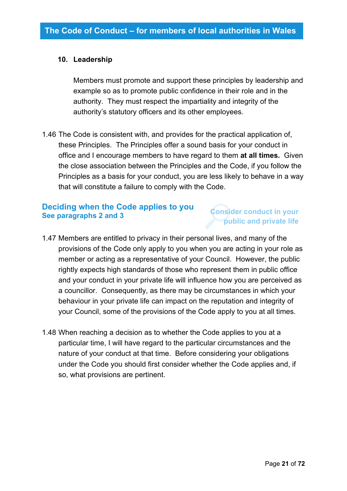#### **10. Leadership**

Members must promote and support these principles by leadership and example so as to promote public confidence in their role and in the authority. They must respect the impartiality and integrity of the authority's statutory officers and its other employees.

1.46 The Code is consistent with, and provides for the practical application of, these Principles. The Principles offer a sound basis for your conduct in office and I encourage members to have regard to them **at all times.** Given the close association between the Principles and the Code, if you follow the Principles as a basis for your conduct, you are less likely to behave in a way that will constitute a failure to comply with the Code.

## <span id="page-20-0"></span>**Deciding when the Code applies to you See paragraphs 2 and 3**

## **Consider conduct in your public and private life**

- 1.47 Members are entitled to privacy in their personal lives, and many of the provisions of the Code only apply to you when you are acting in your role as member or acting as a representative of your Council. However, the public rightly expects high standards of those who represent them in public office and your conduct in your private life will influence how you are perceived as a councillor. Consequently, as there may be circumstances in which your behaviour in your private life can impact on the reputation and integrity of your Council, some of the provisions of the Code apply to you at all times.
- 1.48 When reaching a decision as to whether the Code applies to you at a particular time, I will have regard to the particular circumstances and the nature of your conduct at that time. Before considering your obligations under the Code you should first consider whether the Code applies and, if so, what provisions are pertinent.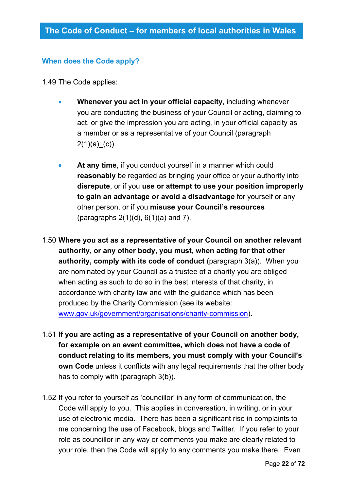## **When does the Code apply?**

- 1.49 The Code applies:
	- **Whenever you act in your official capacity**, including whenever you are conducting the business of your Council or acting, claiming to act, or give the impression you are acting, in your official capacity as a member or as a representative of your Council (paragraph  $2(1)(a)$ <sup>(c)</sup>).
	- **At any time**, if you conduct yourself in a manner which could **reasonably** be regarded as bringing your office or your authority into **disrepute**, or if you **use or attempt to use your position improperly to gain an advantage or avoid a disadvantage** for yourself or any other person, or if you **misuse your Council's resources** (paragraphs  $2(1)(d)$ ,  $6(1)(a)$  and 7).
- 1.50 **Where you act as a representative of your Council on another relevant authority, or any other body, you must, when acting for that other authority, comply with its code of conduct** (paragraph 3(a)). When you are nominated by your Council as a trustee of a charity you are obliged when acting as such to do so in the best interests of that charity, in accordance with charity law and with the guidance which has been produced by the Charity Commission (see its website: [www.gov.uk/government/organisations/charity-commission\)](http://www.gov.uk/government/organisations/charity-commission).
- 1.51 **If you are acting as a representative of your Council on another body, for example on an event committee, which does not have a code of conduct relating to its members, you must comply with your Council's own Code** unless it conflicts with any legal requirements that the other body has to comply with (paragraph 3(b)).
- 1.52 If you refer to yourself as 'councillor' in any form of communication, the Code will apply to you. This applies in conversation, in writing, or in your use of electronic media. There has been a significant rise in complaints to me concerning the use of Facebook, blogs and Twitter. If you refer to your role as councillor in any way or comments you make are clearly related to your role, then the Code will apply to any comments you make there. Even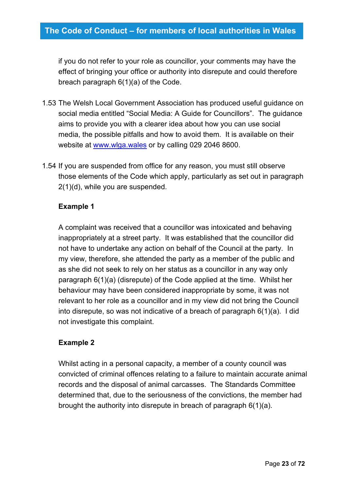if you do not refer to your role as councillor, your comments may have the effect of bringing your office or authority into disrepute and could therefore breach paragraph 6(1)(a) of the Code.

- 1.53 The Welsh Local Government Association has produced useful guidance on social media entitled "Social Media: A Guide for Councillors". The guidance aims to provide you with a clearer idea about how you can use social media, the possible pitfalls and how to avoid them. It is available on their website at [www.wlga.wales](http://www.wlga.wales/) or by calling 029 2046 8600.
- 1.54 If you are suspended from office for any reason, you must still observe those elements of the Code which apply, particularly as set out in paragraph 2(1)(d), while you are suspended.

#### **Example 1**

A complaint was received that a councillor was intoxicated and behaving inappropriately at a street party. It was established that the councillor did not have to undertake any action on behalf of the Council at the party. In my view, therefore, she attended the party as a member of the public and as she did not seek to rely on her status as a councillor in any way only paragraph 6(1)(a) (disrepute) of the Code applied at the time. Whilst her behaviour may have been considered inappropriate by some, it was not relevant to her role as a councillor and in my view did not bring the Council into disrepute, so was not indicative of a breach of paragraph 6(1)(a). I did not investigate this complaint.

#### **Example 2**

Whilst acting in a personal capacity, a member of a county council was convicted of criminal offences relating to a failure to maintain accurate animal records and the disposal of animal carcasses. The Standards Committee determined that, due to the seriousness of the convictions, the member had brought the authority into disrepute in breach of paragraph 6(1)(a).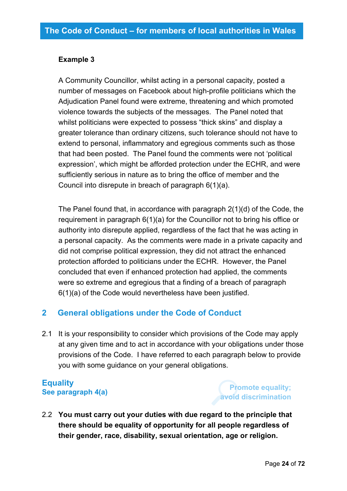#### **Example 3**

A Community Councillor, whilst acting in a personal capacity, posted a number of messages on Facebook about high-profile politicians which the Adjudication Panel found were extreme, threatening and which promoted violence towards the subjects of the messages. The Panel noted that whilst politicians were expected to possess "thick skins" and display a greater tolerance than ordinary citizens, such tolerance should not have to extend to personal, inflammatory and egregious comments such as those that had been posted. The Panel found the comments were not 'political expression', which might be afforded protection under the ECHR, and were sufficiently serious in nature as to bring the office of member and the Council into disrepute in breach of paragraph 6(1)(a).

The Panel found that, in accordance with paragraph 2(1)(d) of the Code, the requirement in paragraph 6(1)(a) for the Councillor not to bring his office or authority into disrepute applied, regardless of the fact that he was acting in a personal capacity. As the comments were made in a private capacity and did not comprise political expression, they did not attract the enhanced protection afforded to politicians under the ECHR. However, the Panel concluded that even if enhanced protection had applied, the comments were so extreme and egregious that a finding of a breach of paragraph 6(1)(a) of the Code would nevertheless have been justified.

## <span id="page-23-0"></span>**2 General obligations under the Code of Conduct**

2.1 It is your responsibility to consider which provisions of the Code may apply at any given time and to act in accordance with your obligations under those provisions of the Code. I have referred to each paragraph below to provide you with some guidance on your general obligations.

## <span id="page-23-1"></span>**Equality See paragraph 4(a)**

**Promote equality; avoid discrimination**

2.2 **You must carry out your duties with due regard to the principle that there should be equality of opportunity for all people regardless of their gender, race, disability, sexual orientation, age or religion.**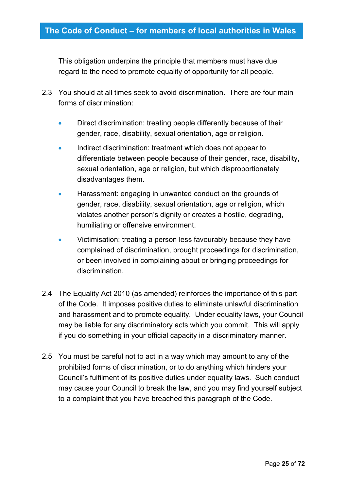This obligation underpins the principle that members must have due regard to the need to promote equality of opportunity for all people.

- 2.3 You should at all times seek to avoid discrimination. There are four main forms of discrimination:
	- Direct discrimination: treating people differently because of their gender, race, disability, sexual orientation, age or religion.
	- Indirect discrimination: treatment which does not appear to differentiate between people because of their gender, race, disability, sexual orientation, age or religion, but which disproportionately disadvantages them.
	- Harassment: engaging in unwanted conduct on the grounds of gender, race, disability, sexual orientation, age or religion, which violates another person's dignity or creates a hostile, degrading, humiliating or offensive environment.
	- Victimisation: treating a person less favourably because they have complained of discrimination, brought proceedings for discrimination, or been involved in complaining about or bringing proceedings for discrimination.
- 2.4 The Equality Act 2010 (as amended) reinforces the importance of this part of the Code. It imposes positive duties to eliminate unlawful discrimination and harassment and to promote equality. Under equality laws, your Council may be liable for any discriminatory acts which you commit. This will apply if you do something in your official capacity in a discriminatory manner.
- 2.5 You must be careful not to act in a way which may amount to any of the prohibited forms of discrimination, or to do anything which hinders your Council's fulfilment of its positive duties under equality laws. Such conduct may cause your Council to break the law, and you may find yourself subject to a complaint that you have breached this paragraph of the Code.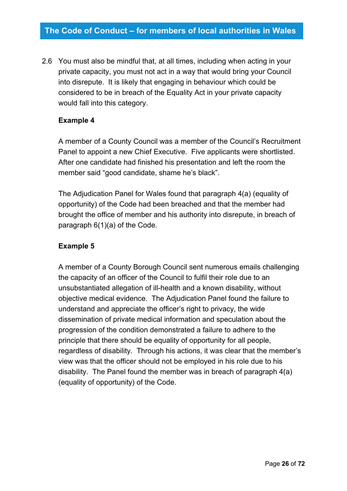2.6 You must also be mindful that, at all times, including when acting in your private capacity, you must not act in a way that would bring your Council into disrepute. It is likely that engaging in behaviour which could be considered to be in breach of the Equality Act in your private capacity would fall into this category.

#### **Example 4**

A member of a County Council was a member of the Council's Recruitment Panel to appoint a new Chief Executive. Five applicants were shortlisted. After one candidate had finished his presentation and left the room the member said "good candidate, shame he's black".

The Adjudication Panel for Wales found that paragraph 4(a) (equality of opportunity) of the Code had been breached and that the member had brought the office of member and his authority into disrepute, in breach of paragraph 6(1)(a) of the Code.

## **Example 5**

<span id="page-25-0"></span>A member of a County Borough Council sent numerous emails challenging the capacity of an officer of the Council to fulfil their role due to an unsubstantiated allegation of ill-health and a known disability, without objective medical evidence. The Adjudication Panel found the failure to understand and appreciate the officer's right to privacy, the wide dissemination of private medical information and speculation about the progression of the condition demonstrated a failure to adhere to the principle that there should be equality of opportunity for all people, regardless of disability. Through his actions, it was clear that the member's view was that the officer should not be employed in his role due to his disability. The Panel found the member was in breach of paragraph 4(a) (equality of opportunity) of the Code.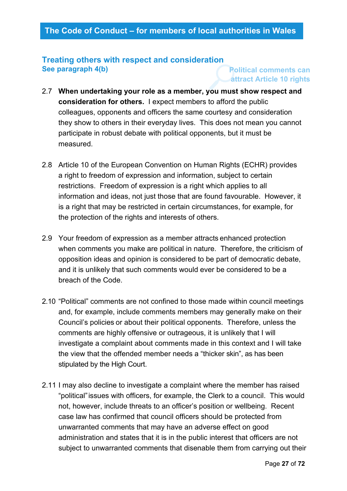## **Treating others with respect and consideration See paragraph 4(b)**

## **Political comments can attract Article 10 rights**

- 2.7 **When undertaking your role as a member, you must show respect and consideration for others.** I expect members to afford the public colleagues, opponents and officers the same courtesy and consideration they show to others in their everyday lives. This does not mean you cannot participate in robust debate with political opponents, but it must be measured.
- 2.8 Article 10 of the European Convention on Human Rights (ECHR) provides a right to freedom of expression and information, subject to certain restrictions. Freedom of expression is a right which applies to all information and ideas, not just those that are found favourable. However, it is a right that may be restricted in certain circumstances, for example, for the protection of the rights and interests of others.
- 2.9 Your freedom of expression as a member attracts enhanced protection when comments you make are political in nature. Therefore, the criticism of opposition ideas and opinion is considered to be part of democratic debate, and it is unlikely that such comments would ever be considered to be a breach of the Code.
- 2.10 "Political" comments are not confined to those made within council meetings and, for example, include comments members may generally make on their Council's policies or about their political opponents. Therefore, unless the comments are highly offensive or outrageous, it is unlikely that I will investigate a complaint about comments made in this context and I will take the view that the offended member needs a "thicker skin", as has been stipulated by the High Court.
- 2.11 I may also decline to investigate a complaint where the member has raised "political"issues with officers, for example, the Clerk to a council. This would not, however, include threats to an officer's position or wellbeing. Recent case law has confirmed that council officers should be protected from unwarranted comments that may have an adverse effect on good administration and states that it is in the public interest that officers are not subject to unwarranted comments that disenable them from carrying out their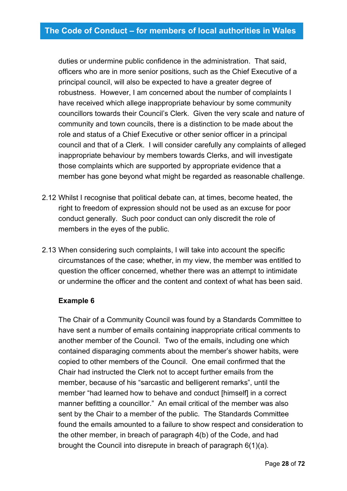duties or undermine public confidence in the administration. That said, officers who are in more senior positions, such as the Chief Executive of a principal council, will also be expected to have a greater degree of robustness. However, I am concerned about the number of complaints I have received which allege inappropriate behaviour by some community councillors towards their Council's Clerk. Given the very scale and nature of community and town councils, there is a distinction to be made about the role and status of a Chief Executive or other senior officer in a principal council and that of a Clerk. I will consider carefully any complaints of alleged inappropriate behaviour by members towards Clerks, and will investigate those complaints which are supported by appropriate evidence that a member has gone beyond what might be regarded as reasonable challenge.

- 2.12 Whilst I recognise that political debate can, at times, become heated, the right to freedom of expression should not be used as an excuse for poor conduct generally. Such poor conduct can only discredit the role of members in the eyes of the public.
- 2.13 When considering such complaints, I will take into account the specific circumstances of the case; whether, in my view, the member was entitled to question the officer concerned, whether there was an attempt to intimidate or undermine the officer and the content and context of what has been said.

#### **Example 6**

The Chair of a Community Council was found by a Standards Committee to have sent a number of emails containing inappropriate critical comments to another member of the Council. Two of the emails, including one which contained disparaging comments about the member's shower habits, were copied to other members of the Council. One email confirmed that the Chair had instructed the Clerk not to accept further emails from the member, because of his "sarcastic and belligerent remarks", until the member "had learned how to behave and conduct [himself] in a correct manner befitting a councillor." An email critical of the member was also sent by the Chair to a member of the public. The Standards Committee found the emails amounted to a failure to show respect and consideration to the other member, in breach of paragraph 4(b) of the Code, and had brought the Council into disrepute in breach of paragraph 6(1)(a).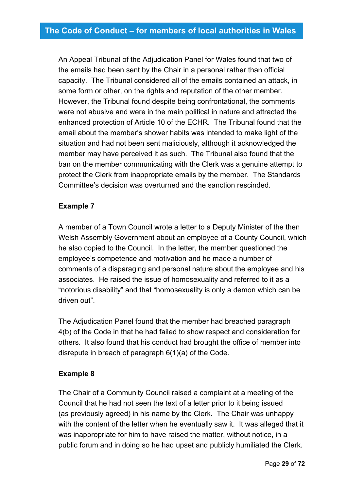An Appeal Tribunal of the Adjudication Panel for Wales found that two of the emails had been sent by the Chair in a personal rather than official capacity. The Tribunal considered all of the emails contained an attack, in some form or other, on the rights and reputation of the other member. However, the Tribunal found despite being confrontational, the comments were not abusive and were in the main political in nature and attracted the enhanced protection of Article 10 of the ECHR. The Tribunal found that the email about the member's shower habits was intended to make light of the situation and had not been sent maliciously, although it acknowledged the member may have perceived it as such. The Tribunal also found that the ban on the member communicating with the Clerk was a genuine attempt to protect the Clerk from inappropriate emails by the member. The Standards Committee's decision was overturned and the sanction rescinded.

#### **Example 7**

A member of a Town Council wrote a letter to a Deputy Minister of the then Welsh Assembly Government about an employee of a County Council, which he also copied to the Council. In the letter, the member questioned the employee's competence and motivation and he made a number of comments of a disparaging and personal nature about the employee and his associates. He raised the issue of homosexuality and referred to it as a "notorious disability" and that "homosexuality is only a demon which can be driven out".

The Adjudication Panel found that the member had breached paragraph 4(b) of the Code in that he had failed to show respect and consideration for others. It also found that his conduct had brought the office of member into disrepute in breach of paragraph 6(1)(a) of the Code.

#### **Example 8**

The Chair of a Community Council raised a complaint at a meeting of the Council that he had not seen the text of a letter prior to it being issued (as previously agreed) in his name by the Clerk. The Chair was unhappy with the content of the letter when he eventually saw it. It was alleged that it was inappropriate for him to have raised the matter, without notice, in a public forum and in doing so he had upset and publicly humiliated the Clerk.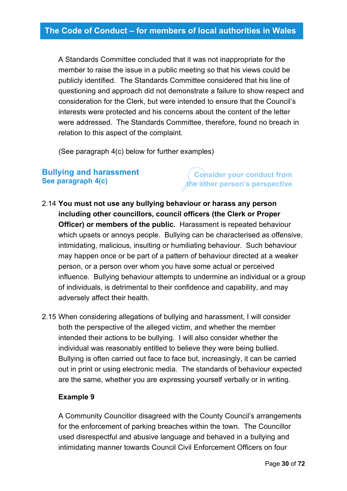A Standards Committee concluded that it was not inappropriate for the member to raise the issue in a public meeting so that his views could be publicly identified. The Standards Committee considered that his line of questioning and approach did not demonstrate a failure to show respect and consideration for the Clerk, but were intended to ensure that the Council's interests were protected and his concerns about the content of the letter were addressed. The Standards Committee, therefore, found no breach in relation to this aspect of the complaint.

(See paragraph 4(c) below for further examples)

## <span id="page-29-0"></span>**Bullying and harassment See paragraph 4(c)**

**Consider your conduct from the other person's perspective**

2.14 **You must not use any bullying behaviour or harass any person including other councillors, council officers (the Clerk or Proper Officer) or members of the public.** Harassment is repeated behaviour which upsets or annoys people. Bullying can be characterised as offensive, intimidating, malicious, insulting or humiliating behaviour. Such behaviour may happen once or be part of a pattern of behaviour directed at a weaker person, or a person over whom you have some actual or perceived influence. Bullying behaviour attempts to undermine an individual or a group of individuals, is detrimental to their confidence and capability, and may adversely affect their health.

2.15 When considering allegations of bullying and harassment, I will consider both the perspective of the alleged victim, and whether the member intended their actions to be bullying. I will also consider whether the individual was reasonably entitled to believe they were being bullied. Bullying is often carried out face to face but, increasingly, it can be carried out in print or using electronic media. The standards of behaviour expected are the same, whether you are expressing yourself verbally or in writing.

#### **Example 9**

A Community Councillor disagreed with the County Council's arrangements for the enforcement of parking breaches within the town. The Councillor used disrespectful and abusive language and behaved in a bullying and intimidating manner towards Council Civil Enforcement Officers on four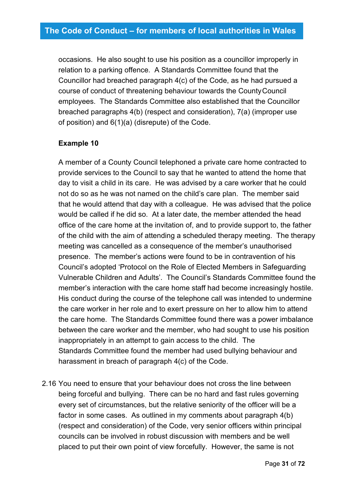occasions. He also sought to use his position as a councillor improperly in relation to a parking offence. A Standards Committee found that the Councillor had breached paragraph 4(c) of the Code, as he had pursued a course of conduct of threatening behaviour towards the CountyCouncil employees. The Standards Committee also established that the Councillor breached paragraphs 4(b) (respect and consideration), 7(a) (improper use of position) and 6(1)(a) (disrepute) of the Code.

## **Example 10**

A member of a County Council telephoned a private care home contracted to provide services to the Council to say that he wanted to attend the home that day to visit a child in its care. He was advised by a care worker that he could not do so as he was not named on the child's care plan. The member said that he would attend that day with a colleague. He was advised that the police would be called if he did so. At a later date, the member attended the head office of the care home at the invitation of, and to provide support to, the father of the child with the aim of attending a scheduled therapy meeting. The therapy meeting was cancelled as a consequence of the member's unauthorised presence. The member's actions were found to be in contravention of his Council's adopted 'Protocol on the Role of Elected Members in Safeguarding Vulnerable Children and Adults'. The Council's Standards Committee found the member's interaction with the care home staff had become increasingly hostile. His conduct during the course of the telephone call was intended to undermine the care worker in her role and to exert pressure on her to allow him to attend the care home. The Standards Committee found there was a power imbalance between the care worker and the member, who had sought to use his position inappropriately in an attempt to gain access to the child. The Standards Committee found the member had used bullying behaviour and harassment in breach of paragraph 4(c) of the Code.

2.16 You need to ensure that your behaviour does not cross the line between being forceful and bullying. There can be no hard and fast rules governing every set of circumstances, but the relative seniority of the officer will be a factor in some cases. As outlined in my comments about paragraph 4(b) (respect and consideration) of the Code, very senior officers within principal councils can be involved in robust discussion with members and be well placed to put their own point of view forcefully. However, the same is not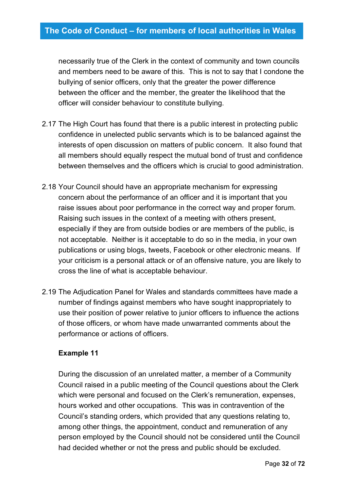necessarily true of the Clerk in the context of community and town councils and members need to be aware of this. This is not to say that I condone the bullying of senior officers, only that the greater the power difference between the officer and the member, the greater the likelihood that the officer will consider behaviour to constitute bullying.

- 2.17 The High Court has found that there is a public interest in protecting public confidence in unelected public servants which is to be balanced against the interests of open discussion on matters of public concern. It also found that all members should equally respect the mutual bond of trust and confidence between themselves and the officers which is crucial to good administration.
- 2.18 Your Council should have an appropriate mechanism for expressing concern about the performance of an officer and it is important that you raise issues about poor performance in the correct way and proper forum. Raising such issues in the context of a meeting with others present, especially if they are from outside bodies or are members of the public, is not acceptable. Neither is it acceptable to do so in the media, in your own publications or using blogs, tweets, Facebook or other electronic means. If your criticism is a personal attack or of an offensive nature, you are likely to cross the line of what is acceptable behaviour.
- 2.19 The Adjudication Panel for Wales and standards committees have made a number of findings against members who have sought inappropriately to use their position of power relative to junior officers to influence the actions of those officers, or whom have made unwarranted comments about the performance or actions of officers.

#### **Example 11**

During the discussion of an unrelated matter, a member of a Community Council raised in a public meeting of the Council questions about the Clerk which were personal and focused on the Clerk's remuneration, expenses, hours worked and other occupations. This was in contravention of the Council's standing orders, which provided that any questions relating to, among other things, the appointment, conduct and remuneration of any person employed by the Council should not be considered until the Council had decided whether or not the press and public should be excluded.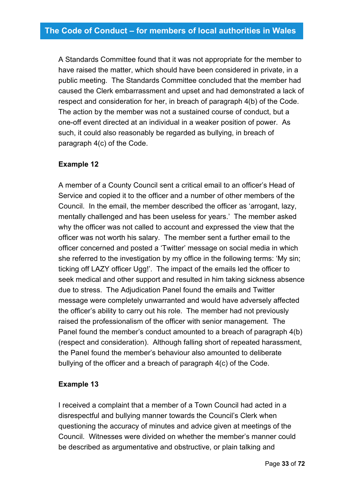A Standards Committee found that it was not appropriate for the member to have raised the matter, which should have been considered in private, in a public meeting. The Standards Committee concluded that the member had caused the Clerk embarrassment and upset and had demonstrated a lack of respect and consideration for her, in breach of paragraph 4(b) of the Code. The action by the member was not a sustained course of conduct, but a one-off event directed at an individual in a weaker position of power. As such, it could also reasonably be regarded as bullying, in breach of paragraph 4(c) of the Code.

## **Example 12**

A member of a County Council sent a critical email to an officer's Head of Service and copied it to the officer and a number of other members of the Council. In the email, the member described the officer as 'arrogant, lazy, mentally challenged and has been useless for years.' The member asked why the officer was not called to account and expressed the view that the officer was not worth his salary. The member sent a further email to the officer concerned and posted a 'Twitter' message on social media in which she referred to the investigation by my office in the following terms: 'My sin; ticking off LAZY officer Ugg!'. The impact of the emails led the officer to seek medical and other support and resulted in him taking sickness absence due to stress. The Adjudication Panel found the emails and Twitter message were completely unwarranted and would have adversely affected the officer's ability to carry out his role. The member had not previously raised the professionalism of the officer with senior management. The Panel found the member's conduct amounted to a breach of paragraph 4(b) (respect and consideration). Although falling short of repeated harassment, the Panel found the member's behaviour also amounted to deliberate bullying of the officer and a breach of paragraph 4(c) of the Code.

#### **Example 13**

I received a complaint that a member of a Town Council had acted in a disrespectful and bullying manner towards the Council's Clerk when questioning the accuracy of minutes and advice given at meetings of the Council. Witnesses were divided on whether the member's manner could be described as argumentative and obstructive, or plain talking and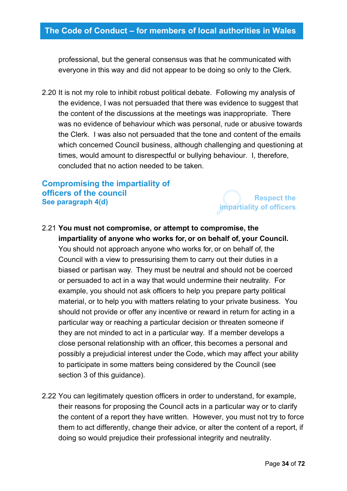professional, but the general consensus was that he communicated with everyone in this way and did not appear to be doing so only to the Clerk.

2.20 It is not my role to inhibit robust political debate. Following my analysis of the evidence, I was not persuaded that there was evidence to suggest that the content of the discussions at the meetings was inappropriate. There was no evidence of behaviour which was personal, rude or abusive towards the Clerk. I was also not persuaded that the tone and content of the emails which concerned Council business, although challenging and questioning at times, would amount to disrespectful or bullying behaviour. I, therefore, concluded that no action needed to be taken.

## <span id="page-33-0"></span>**Compromising the impartiality of officers of the council See paragraph 4(d)**

**Respect the impartiality of officers**

## 2.21 **You must not compromise, or attempt to compromise, the impartiality of anyone who works for, or on behalf of, your Council.**

You should not approach anyone who works for, or on behalf of, the Council with a view to pressurising them to carry out their duties in a biased or partisan way. They must be neutral and should not be coerced or persuaded to act in a way that would undermine their neutrality. For example, you should not ask officers to help you prepare party political material, or to help you with matters relating to your private business. You should not provide or offer any incentive or reward in return for acting in a particular way or reaching a particular decision or threaten someone if they are not minded to act in a particular way. If a member develops a close personal relationship with an officer, this becomes a personal and possibly a prejudicial interest under the Code, which may affect your ability to participate in some matters being considered by the Council (see section 3 of this guidance).

2.22 You can legitimately question officers in order to understand, for example, their reasons for proposing the Council acts in a particular way or to clarify the content of a report they have written. However, you must not try to force them to act differently, change their advice, or alter the content of a report, if doing so would prejudice their professional integrity and neutrality.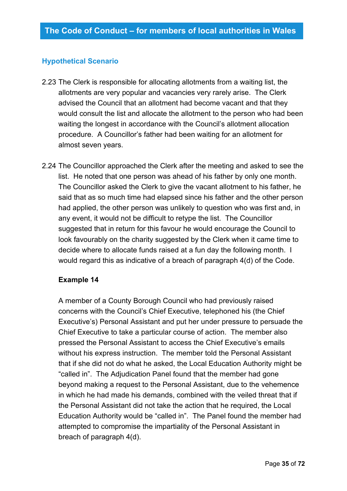#### **Hypothetical Scenario**

- 2.23 The Clerk is responsible for allocating allotments from a waiting list, the allotments are very popular and vacancies very rarely arise. The Clerk advised the Council that an allotment had become vacant and that they would consult the list and allocate the allotment to the person who had been waiting the longest in accordance with the Council's allotment allocation procedure. A Councillor's father had been waiting for an allotment for almost seven years.
- 2.24 The Councillor approached the Clerk after the meeting and asked to see the list. He noted that one person was ahead of his father by only one month. The Councillor asked the Clerk to give the vacant allotment to his father, he said that as so much time had elapsed since his father and the other person had applied, the other person was unlikely to question who was first and, in any event, it would not be difficult to retype the list. The Councillor suggested that in return for this favour he would encourage the Council to look favourably on the charity suggested by the Clerk when it came time to decide where to allocate funds raised at a fun day the following month. I would regard this as indicative of a breach of paragraph 4(d) of the Code.

#### **Example 14**

A member of a County Borough Council who had previously raised concerns with the Council's Chief Executive, telephoned his (the Chief Executive's) Personal Assistant and put her under pressure to persuade the Chief Executive to take a particular course of action. The member also pressed the Personal Assistant to access the Chief Executive's emails without his express instruction. The member told the Personal Assistant that if she did not do what he asked, the Local Education Authority might be "called in". The Adjudication Panel found that the member had gone beyond making a request to the Personal Assistant, due to the vehemence in which he had made his demands, combined with the veiled threat that if the Personal Assistant did not take the action that he required, the Local Education Authority would be "called in". The Panel found the member had attempted to compromise the impartiality of the Personal Assistant in breach of paragraph 4(d).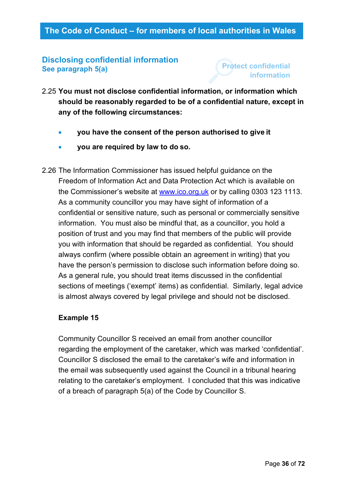## <span id="page-35-0"></span>**Disclosing confidential information See paragraph 5(a)**

# **Protect confidential information**

- 2.25 **You must not disclose confidential information, or information which should be reasonably regarded to be of a confidential nature, except in any of the following circumstances:**
	- **you have the consent of the person authorised to give it**
	- **you are required by law to do so.**
- 2.26 The Information Commissioner has issued helpful guidance on the Freedom of Information Act and Data Protection Act which is available on the Commissioner's website at [www.ico.org.uk](http://www.ico.org.uk/) or by calling 0303 123 1113. As a community councillor you may have sight of information of a confidential or sensitive nature, such as personal or commercially sensitive information. You must also be mindful that, as a councillor, you hold a position of trust and you may find that members of the public will provide you with information that should be regarded as confidential. You should always confirm (where possible obtain an agreement in writing) that you have the person's permission to disclose such information before doing so. As a general rule, you should treat items discussed in the confidential sections of meetings ('exempt' items) as confidential. Similarly, legal advice is almost always covered by legal privilege and should not be disclosed.

## **Example 15**

Community Councillor S received an email from another councillor regarding the employment of the caretaker, which was marked 'confidential'. Councillor S disclosed the email to the caretaker's wife and information in the email was subsequently used against the Council in a tribunal hearing relating to the caretaker's employment. I concluded that this was indicative of a breach of paragraph 5(a) of the Code by Councillor S.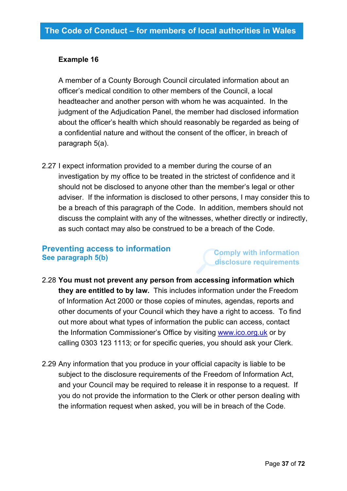#### **Example 16**

A member of a County Borough Council circulated information about an officer's medical condition to other members of the Council, a local headteacher and another person with whom he was acquainted. In the judgment of the Adjudication Panel, the member had disclosed information about the officer's health which should reasonably be regarded as being of a confidential nature and without the consent of the officer, in breach of paragraph 5(a).

2.27 I expect information provided to a member during the course of an investigation by my office to be treated in the strictest of confidence and it should not be disclosed to anyone other than the member's legal or other adviser. If the information is disclosed to other persons, I may consider this to be a breach of this paragraph of the Code. In addition, members should not discuss the complaint with any of the witnesses, whether directly or indirectly, as such contact may also be construed to be a breach of the Code.

#### **Preventing access to information See paragraph 5(b)**

#### **Comply with information disclosure requirements**

- 2.28 **You must not prevent any person from accessing information which they are entitled to by law.** This includes information under the Freedom of Information Act 2000 or those copies of minutes, agendas, reports and other documents of your Council which they have a right to access. To find out more about what types of information the public can access, contact the Information Commissioner's Office by visiting [www.ico.org.uk](http://www.ico.org.uk/) or by calling 0303 123 1113; or for specific queries, you should ask your Clerk.
- 2.29 Any information that you produce in your official capacity is liable to be subject to the disclosure requirements of the Freedom of Information Act, and your Council may be required to release it in response to a request. If you do not provide the information to the Clerk or other person dealing with the information request when asked, you will be in breach of the Code.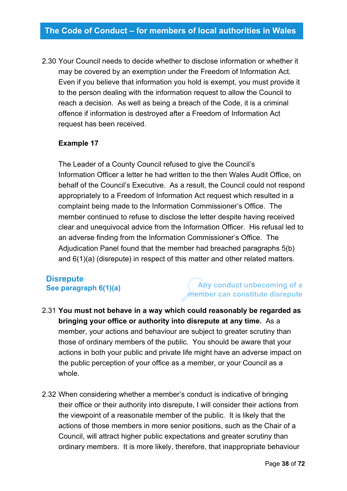2.30 Your Council needs to decide whether to disclose information or whether it may be covered by an exemption under the Freedom of Information Act. Even if you believe that information you hold is exempt, you must provide it to the person dealing with the information request to allow the Council to reach a decision. As well as being a breach of the Code, it is a criminal offence if information is destroyed after a Freedom of Information Act request has been received.

#### **Example 17**

The Leader of a County Council refused to give the Council's Information Officer a letter he had written to the then Wales Audit Office, on behalf of the Council's Executive. As a result, the Council could not respond appropriately to a Freedom of Information Act request which resulted in a complaint being made to the Information Commissioner's Office. The member continued to refuse to disclose the letter despite having received clear and unequivocal advice from the Information Officer. His refusal led to an adverse finding from the Information Commissioner's Office. The Adjudication Panel found that the member had breached paragraphs 5(b) and 6(1)(a) (disrepute) in respect of this matter and other related matters.

#### **Disrepute See paragraph 6(1)(a)**

### **Any conduct unbecoming of a member can constitute disrepute**

- 2.31 **You must not behave in a way which could reasonably be regarded as bringing your office or authority into disrepute at any time.** As a member, your actions and behaviour are subject to greater scrutiny than those of ordinary members of the public. You should be aware that your actions in both your public and private life might have an adverse impact on the public perception of your office as a member, or your Council as a whole.
- 2.32 When considering whether a member's conduct is indicative of bringing their office or their authority into disrepute, I will consider their actions from the viewpoint of a reasonable member of the public. It is likely that the actions of those members in more senior positions, such as the Chair of a Council, will attract higher public expectations and greater scrutiny than ordinary members. It is more likely, therefore, that inappropriate behaviour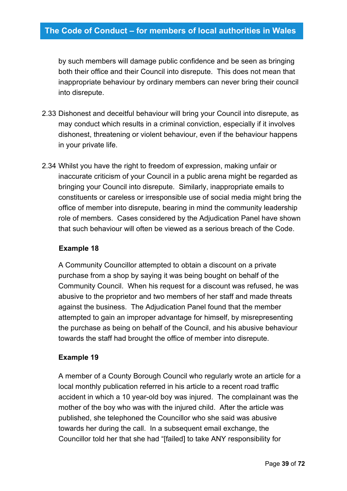by such members will damage public confidence and be seen as bringing both their office and their Council into disrepute. This does not mean that inappropriate behaviour by ordinary members can never bring their council into disrepute.

- 2.33 Dishonest and deceitful behaviour will bring your Council into disrepute, as may conduct which results in a criminal conviction, especially if it involves dishonest, threatening or violent behaviour, even if the behaviour happens in your private life.
- 2.34 Whilst you have the right to freedom of expression, making unfair or inaccurate criticism of your Council in a public arena might be regarded as bringing your Council into disrepute. Similarly, inappropriate emails to constituents or careless or irresponsible use of social media might bring the office of member into disrepute, bearing in mind the community leadership role of members. Cases considered by the Adjudication Panel have shown that such behaviour will often be viewed as a serious breach of the Code.

#### **Example 18**

A Community Councillor attempted to obtain a discount on a private purchase from a shop by saying it was being bought on behalf of the Community Council. When his request for a discount was refused, he was abusive to the proprietor and two members of her staff and made threats against the business. The Adjudication Panel found that the member attempted to gain an improper advantage for himself, by misrepresenting the purchase as being on behalf of the Council, and his abusive behaviour towards the staff had brought the office of member into disrepute.

#### **Example 19**

A member of a County Borough Council who regularly wrote an article for a local monthly publication referred in his article to a recent road traffic accident in which a 10 year-old boy was injured. The complainant was the mother of the boy who was with the injured child. After the article was published, she telephoned the Councillor who she said was abusive towards her during the call. In a subsequent email exchange, the Councillor told her that she had "[failed] to take ANY responsibility for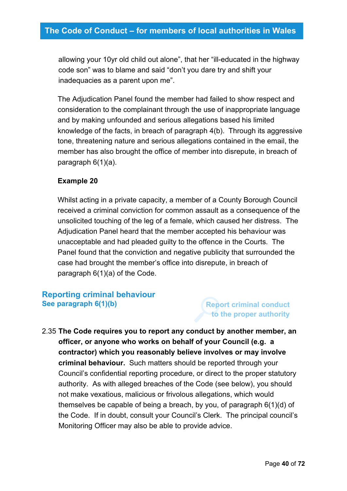allowing your 10yr old child out alone", that her "ill-educated in the highway code son" was to blame and said "don't you dare try and shift your inadequacies as a parent upon me".

The Adjudication Panel found the member had failed to show respect and consideration to the complainant through the use of inappropriate language and by making unfounded and serious allegations based his limited knowledge of the facts, in breach of paragraph 4(b). Through its aggressive tone, threatening nature and serious allegations contained in the email, the member has also brought the office of member into disrepute, in breach of paragraph 6(1)(a).

#### **Example 20**

Whilst acting in a private capacity, a member of a County Borough Council received a criminal conviction for common assault as a consequence of the unsolicited touching of the leg of a female, which caused her distress. The Adjudication Panel heard that the member accepted his behaviour was unacceptable and had pleaded guilty to the offence in the Courts. The Panel found that the conviction and negative publicity that surrounded the case had brought the member's office into disrepute, in breach of paragraph 6(1)(a) of the Code.

### **Reporting criminal behaviour See paragraph 6(1)(b)**

### **Report criminal conduct to the proper authority**

2.35 **The Code requires you to report any conduct by another member, an officer, or anyone who works on behalf of your Council (e.g. a contractor) which you reasonably believe involves or may involve criminal behaviour.** Such matters should be reported through your Council's confidential reporting procedure, or direct to the proper statutory authority. As with alleged breaches of the Code (see below), you should not make vexatious, malicious or frivolous allegations, which would themselves be capable of being a breach, by you, of paragraph 6(1)(d) of the Code. If in doubt, consult your Council's Clerk. The principal council's Monitoring Officer may also be able to provide advice.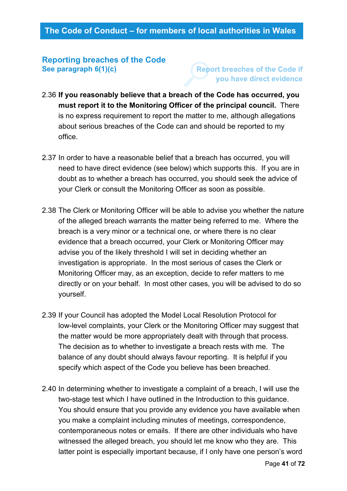#### **Reporting breaches of the Code See paragraph 6(1)(c)**

**Report breaches of the Code if you have direct evidence**

- 2.36 **If you reasonably believe that a breach of the Code has occurred, you must report it to the Monitoring Officer of the principal council.** There is no express requirement to report the matter to me, although allegations about serious breaches of the Code can and should be reported to my office.
- 2.37 In order to have a reasonable belief that a breach has occurred, you will need to have direct evidence (see below) which supports this. If you are in doubt as to whether a breach has occurred, you should seek the advice of your Clerk or consult the Monitoring Officer as soon as possible.
- 2.38 The Clerk or Monitoring Officer will be able to advise you whether the nature of the alleged breach warrants the matter being referred to me. Where the breach is a very minor or a technical one, or where there is no clear evidence that a breach occurred, your Clerk or Monitoring Officer may advise you of the likely threshold I will set in deciding whether an investigation is appropriate. In the most serious of cases the Clerk or Monitoring Officer may, as an exception, decide to refer matters to me directly or on your behalf. In most other cases, you will be advised to do so yourself.
- 2.39 If your Council has adopted the Model Local Resolution Protocol for low-level complaints, your Clerk or the Monitoring Officer may suggest that the matter would be more appropriately dealt with through that process. The decision as to whether to investigate a breach rests with me. The balance of any doubt should always favour reporting. It is helpful if you specify which aspect of the Code you believe has been breached.
- 2.40 In determining whether to investigate a complaint of a breach, I will use the two-stage test which I have outlined in the Introduction to this guidance. You should ensure that you provide any evidence you have available when you make a complaint including minutes of meetings, correspondence, contemporaneous notes or emails. If there are other individuals who have witnessed the alleged breach, you should let me know who they are. This latter point is especially important because, if I only have one person's word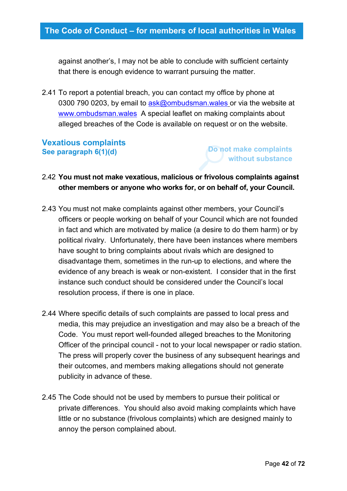against another's, I may not be able to conclude with sufficient certainty that there is enough evidence to warrant pursuing the matter.

2.41 To report a potential breach, you can contact my office by phone at 0300 790 0203, by email to  $a$ sk@ombudsman.wales or via the website at [www.ombudsman.wales](http://www.ombudsman.wales/) A special leaflet on making complaints about alleged breaches of the Code is available on request or on the website.

#### **Vexatious complaints See paragraph 6(1)(d)**

**Do not make complaints without substance**

### 2.42 **You must not make vexatious, malicious or frivolous complaints against other members or anyone who works for, or on behalf of, your Council.**

- 2.43 You must not make complaints against other members, your Council's officers or people working on behalf of your Council which are not founded in fact and which are motivated by malice (a desire to do them harm) or by political rivalry. Unfortunately, there have been instances where members have sought to bring complaints about rivals which are designed to disadvantage them, sometimes in the run-up to elections, and where the evidence of any breach is weak or non-existent. I consider that in the first instance such conduct should be considered under the Council's local resolution process, if there is one in place.
- 2.44 Where specific details of such complaints are passed to local press and media, this may prejudice an investigation and may also be a breach of the Code. You must report well-founded alleged breaches to the Monitoring Officer of the principal council - not to your local newspaper or radio station. The press will properly cover the business of any subsequent hearings and their outcomes, and members making allegations should not generate publicity in advance of these.
- 2.45 The Code should not be used by members to pursue their political or private differences. You should also avoid making complaints which have little or no substance (frivolous complaints) which are designed mainly to annoy the person complained about.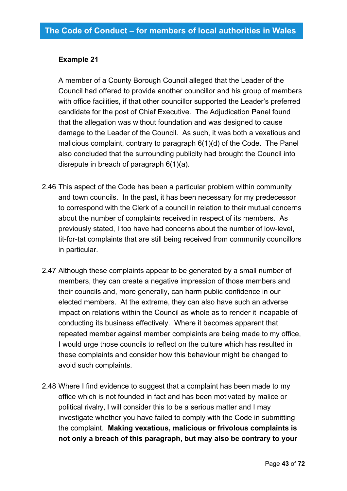#### **Example 21**

A member of a County Borough Council alleged that the Leader of the Council had offered to provide another councillor and his group of members with office facilities, if that other councillor supported the Leader's preferred candidate for the post of Chief Executive. The Adjudication Panel found that the allegation was without foundation and was designed to cause damage to the Leader of the Council. As such, it was both a vexatious and malicious complaint, contrary to paragraph 6(1)(d) of the Code. The Panel also concluded that the surrounding publicity had brought the Council into disrepute in breach of paragraph 6(1)(a).

- 2.46 This aspect of the Code has been a particular problem within community and town councils. In the past, it has been necessary for my predecessor to correspond with the Clerk of a council in relation to their mutual concerns about the number of complaints received in respect of its members. As previously stated, I too have had concerns about the number of low-level, tit-for-tat complaints that are still being received from community councillors in particular.
- 2.47 Although these complaints appear to be generated by a small number of members, they can create a negative impression of those members and their councils and, more generally, can harm public confidence in our elected members. At the extreme, they can also have such an adverse impact on relations within the Council as whole as to render it incapable of conducting its business effectively. Where it becomes apparent that repeated member against member complaints are being made to my office, I would urge those councils to reflect on the culture which has resulted in these complaints and consider how this behaviour might be changed to avoid such complaints.
- 2.48 Where I find evidence to suggest that a complaint has been made to my office which is not founded in fact and has been motivated by malice or political rivalry, I will consider this to be a serious matter and I may investigate whether you have failed to comply with the Code in submitting the complaint. **Making vexatious, malicious or frivolous complaints is not only a breach of this paragraph, but may also be contrary to your**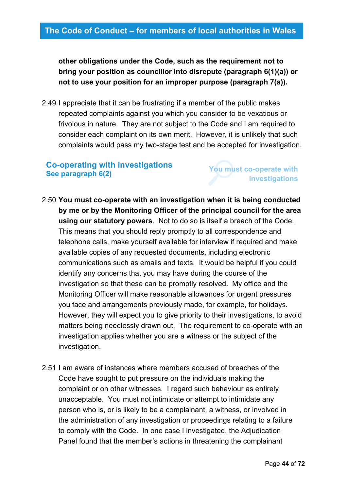**other obligations under the Code, such as the requirement not to bring your position as councillor into disrepute (paragraph 6(1)(a)) or not to use your position for an improper purpose (paragraph 7(a)).**

2.49 I appreciate that it can be frustrating if a member of the public makes repeated complaints against you which you consider to be vexatious or frivolous in nature. They are not subject to the Code and I am required to consider each complaint on its own merit. However, it is unlikely that such complaints would pass my two-stage test and be accepted for investigation.

#### **Co-operating with investigations See paragraph 6(2)**

**You must co-operate with investigations**

- 2.50 **You must co-operate with an investigation when it is being conducted by me or by the Monitoring Officer of the principal council for the area using our statutory powers**. Not to do so is itself a breach of the Code. This means that you should reply promptly to all correspondence and telephone calls, make yourself available for interview if required and make available copies of any requested documents, including electronic communications such as emails and texts. It would be helpful if you could identify any concerns that you may have during the course of the investigation so that these can be promptly resolved. My office and the Monitoring Officer will make reasonable allowances for urgent pressures you face and arrangements previously made, for example, for holidays. However, they will expect you to give priority to their investigations, to avoid matters being needlessly drawn out. The requirement to co-operate with an investigation applies whether you are a witness or the subject of the investigation.
- 2.51 I am aware of instances where members accused of breaches of the Code have sought to put pressure on the individuals making the complaint or on other witnesses. I regard such behaviour as entirely unacceptable. You must not intimidate or attempt to intimidate any person who is, or is likely to be a complainant, a witness, or involved in the administration of any investigation or proceedings relating to a failure to comply with the Code. In one case I investigated, the Adjudication Panel found that the member's actions in threatening the complainant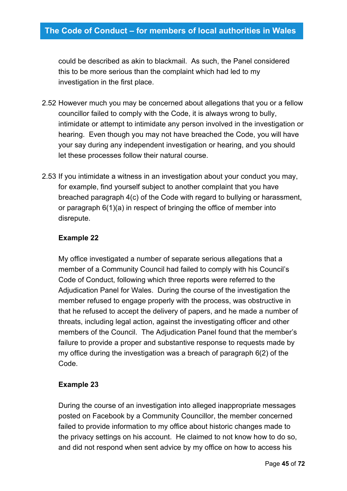could be described as akin to blackmail. As such, the Panel considered this to be more serious than the complaint which had led to my investigation in the first place.

- 2.52 However much you may be concerned about allegations that you or a fellow councillor failed to comply with the Code, it is always wrong to bully, intimidate or attempt to intimidate any person involved in the investigation or hearing. Even though you may not have breached the Code, you will have your say during any independent investigation or hearing, and you should let these processes follow their natural course.
- 2.53 If you intimidate a witness in an investigation about your conduct you may, for example, find yourself subject to another complaint that you have breached paragraph 4(c) of the Code with regard to bullying or harassment, or paragraph 6(1)(a) in respect of bringing the office of member into disrepute.

#### **Example 22**

My office investigated a number of separate serious allegations that a member of a Community Council had failed to comply with his Council's Code of Conduct, following which three reports were referred to the Adjudication Panel for Wales. During the course of the investigation the member refused to engage properly with the process, was obstructive in that he refused to accept the delivery of papers, and he made a number of threats, including legal action, against the investigating officer and other members of the Council. The Adjudication Panel found that the member's failure to provide a proper and substantive response to requests made by my office during the investigation was a breach of paragraph 6(2) of the Code.

#### **Example 23**

During the course of an investigation into alleged inappropriate messages posted on Facebook by a Community Councillor, the member concerned failed to provide information to my office about historic changes made to the privacy settings on his account. He claimed to not know how to do so, and did not respond when sent advice by my office on how to access his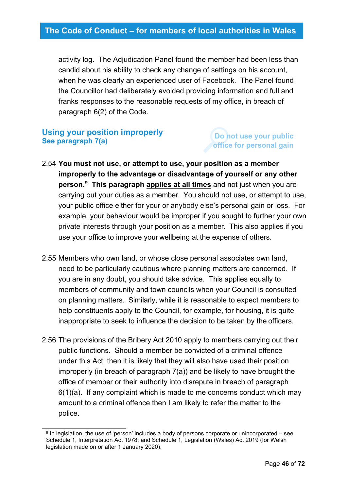activity log. The Adjudication Panel found the member had been less than candid about his ability to check any change of settings on his account, when he was clearly an experienced user of Facebook. The Panel found the Councillor had deliberately avoided providing information and full and franks responses to the reasonable requests of my office, in breach of paragraph 6(2) of the Code.

#### **Using your position improperly See paragraph 7(a)**

### **Do not use your public office for personal gain**

- 2.54 **You must not use, or attempt to use, your position as a member improperly to the advantage or disadvantage of yourself or any other person.[9](#page-45-0) This paragraph applies at all times** and not just when you are carrying out your duties as a member. You should not use, or attempt to use, your public office either for your or anybody else's personal gain or loss. For example, your behaviour would be improper if you sought to further your own private interests through your position as a member. This also applies if you use your office to improve your wellbeing at the expense of others.
- 2.55 Members who own land, or whose close personal associates own land, need to be particularly cautious where planning matters are concerned. If you are in any doubt, you should take advice. This applies equally to members of community and town councils when your Council is consulted on planning matters. Similarly, while it is reasonable to expect members to help constituents apply to the Council, for example, for housing, it is quite inappropriate to seek to influence the decision to be taken by the officers.
- 2.56 The provisions of the Bribery Act 2010 apply to members carrying out their public functions. Should a member be convicted of a criminal offence under this Act, then it is likely that they will also have used their position improperly (in breach of paragraph 7(a)) and be likely to have brought the office of member or their authority into disrepute in breach of paragraph 6(1)(a). If any complaint which is made to me concerns conduct which may amount to a criminal offence then I am likely to refer the matter to the police.

<span id="page-45-0"></span> $9$  In legislation, the use of 'person' includes a body of persons corporate or unincorporated – see Schedule 1, Interpretation Act 1978; and Schedule 1, Legislation (Wales) Act 2019 (for Welsh legislation made on or after 1 January 2020).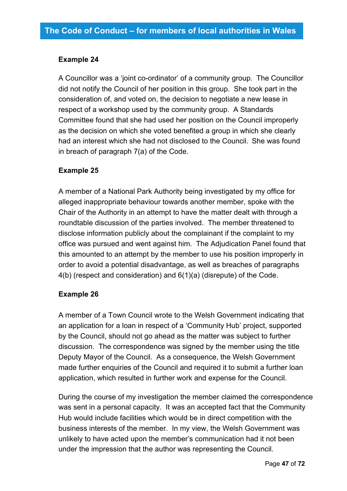#### **Example 24**

A Councillor was a 'joint co-ordinator' of a community group. The Councillor did not notify the Council of her position in this group. She took part in the consideration of, and voted on, the decision to negotiate a new lease in respect of a workshop used by the community group. A Standards Committee found that she had used her position on the Council improperly as the decision on which she voted benefited a group in which she clearly had an interest which she had not disclosed to the Council. She was found in breach of paragraph 7(a) of the Code.

#### **Example 25**

A member of a National Park Authority being investigated by my office for alleged inappropriate behaviour towards another member, spoke with the Chair of the Authority in an attempt to have the matter dealt with through a roundtable discussion of the parties involved. The member threatened to disclose information publicly about the complainant if the complaint to my office was pursued and went against him. The Adjudication Panel found that this amounted to an attempt by the member to use his position improperly in order to avoid a potential disadvantage, as well as breaches of paragraphs 4(b) (respect and consideration) and 6(1)(a) (disrepute) of the Code.

#### **Example 26**

A member of a Town Council wrote to the Welsh Government indicating that an application for a loan in respect of a 'Community Hub' project, supported by the Council, should not go ahead as the matter was subject to further discussion. The correspondence was signed by the member using the title Deputy Mayor of the Council. As a consequence, the Welsh Government made further enquiries of the Council and required it to submit a further loan application, which resulted in further work and expense for the Council.

During the course of my investigation the member claimed the correspondence was sent in a personal capacity. It was an accepted fact that the Community Hub would include facilities which would be in direct competition with the business interests of the member. In my view, the Welsh Government was unlikely to have acted upon the member's communication had it not been under the impression that the author was representing the Council.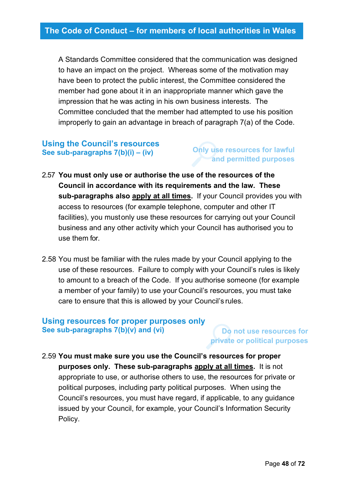A Standards Committee considered that the communication was designed to have an impact on the project. Whereas some of the motivation may have been to protect the public interest, the Committee considered the member had gone about it in an inappropriate manner which gave the impression that he was acting in his own business interests. The Committee concluded that the member had attempted to use his position improperly to gain an advantage in breach of paragraph 7(a) of the Code.

### **Using the Council's resources See sub-paragraphs 7(b)(i) – (iv)**

#### **Only use resources for lawful and permitted purposes**

- 2.57 **You must only use or authorise the use of the resources of the Council in accordance with its requirements and the law. These sub-paragraphs also apply at all times.** If your Council provides you with access to resources (for example telephone, computer and other IT facilities), you mustonly use these resources for carrying out your Council business and any other activity which your Council has authorised you to use them for.
- 2.58 You must be familiar with the rules made by your Council applying to the use of these resources. Failure to comply with your Council's rules is likely to amount to a breach of the Code. If you authorise someone (for example a member of your family) to use your Council's resources, you must take care to ensure that this is allowed by your Council's rules.

#### **Using resources for proper purposes only See sub-paragraphs 7(b)(v) and (vi)**

**Do not use resources for private or political purposes**

2.59 **You must make sure you use the Council's resources for proper purposes only. These sub-paragraphs apply at all times.** It is not appropriate to use, or authorise others to use, the resources for private or political purposes, including party political purposes. When using the Council's resources, you must have regard, if applicable, to any guidance issued by your Council, for example, your Council's Information Security Policy.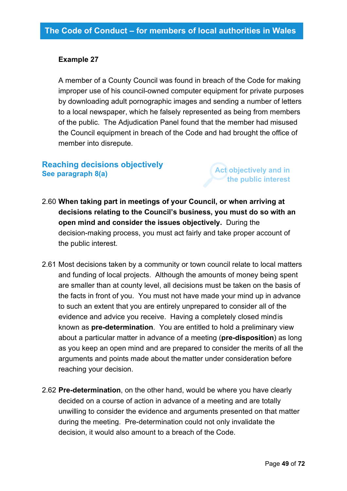#### **Example 27**

A member of a County Council was found in breach of the Code for making improper use of his council-owned computer equipment for private purposes by downloading adult pornographic images and sending a number of letters to a local newspaper, which he falsely represented as being from members of the public. The Adjudication Panel found that the member had misused the Council equipment in breach of the Code and had brought the office of member into disrepute.

### **Reaching decisions objectively See paragraph 8(a)**

**Act objectively and in the public interest**

2.60 **When taking part in meetings of your Council, or when arriving at decisions relating to the Council's business, you must do so with an open mind and consider the issues objectively.** During the decision-making process, you must act fairly and take proper account of the public interest.

- 2.61 Most decisions taken by a community or town council relate to local matters and funding of local projects. Although the amounts of money being spent are smaller than at county level, all decisions must be taken on the basis of the facts in front of you. You must not have made your mind up in advance to such an extent that you are entirely unprepared to consider all of the evidence and advice you receive. Having a completely closed mindis known as **pre-determination**. You are entitled to hold a preliminary view about a particular matter in advance of a meeting (**pre-disposition**) as long as you keep an open mind and are prepared to consider the merits of all the arguments and points made about the matter under consideration before reaching your decision.
- 2.62 **Pre-determination**, on the other hand, would be where you have clearly decided on a course of action in advance of a meeting and are totally unwilling to consider the evidence and arguments presented on that matter during the meeting. Pre-determination could not only invalidate the decision, it would also amount to a breach of the Code.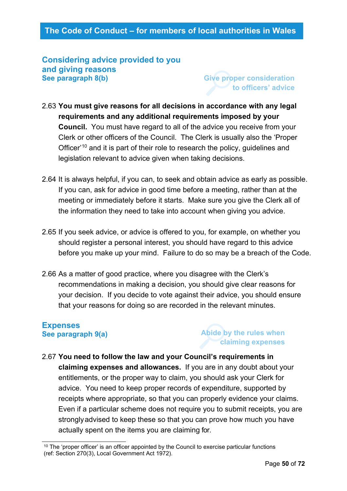#### **Considering advice provided to you and giving reasons See paragraph 8(b)**

**Give proper consideration to officers' advice**

- 2.63 **You must give reasons for all decisions in accordance with any legal requirements and any additional requirements imposed by your Council.** You must have regard to all of the advice you receive from your Clerk or other officers of the Council. The Clerk is usually also the 'Proper Officer<sup>'[10](#page-49-0)</sup> and it is part of their role to research the policy, guidelines and legislation relevant to advice given when taking decisions.
- 2.64 It is always helpful, if you can, to seek and obtain advice as early as possible. If you can, ask for advice in good time before a meeting, rather than at the meeting or immediately before it starts. Make sure you give the Clerk all of the information they need to take into account when giving you advice.
- 2.65 If you seek advice, or advice is offered to you, for example, on whether you should register a personal interest, you should have regard to this advice before you make up your mind. Failure to do so may be a breach of the Code.
- 2.66 As a matter of good practice, where you disagree with the Clerk's recommendations in making a decision, you should give clear reasons for your decision. If you decide to vote against their advice, you should ensure that your reasons for doing so are recorded in the relevant minutes.

#### **Expenses See paragraph 9(a)**

#### **Abide by the rules when claiming expenses**

2.67 **You need to follow the law and your Council's requirements in claiming expenses and allowances.** If you are in any doubt about your entitlements, or the proper way to claim, you should ask your Clerk for advice. You need to keep proper records of expenditure, supported by receipts where appropriate, so that you can properly evidence your claims. Even if a particular scheme does not require you to submit receipts, you are stronglyadvised to keep these so that you can prove how much you have actually spent on the items you are claiming for.

<span id="page-49-0"></span><sup>&</sup>lt;sup>10</sup> The 'proper officer' is an officer appointed by the Council to exercise particular functions (ref: Section 270(3), Local Government Act 1972).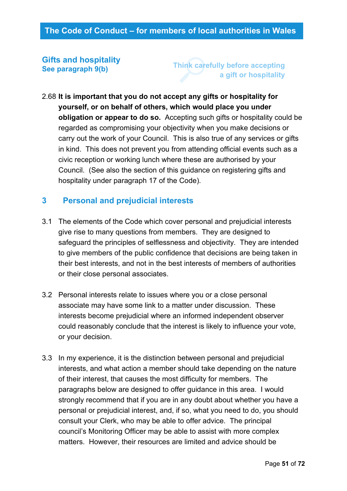#### **Gifts and hospitality See paragraph 9(b)**

**Think carefully before accepting a gift or hospitality**

2.68 **It is important that you do not accept any gifts or hospitality for yourself, or on behalf of others, which would place you under obligation or appear to do so.** Accepting such gifts or hospitality could be regarded as compromising your objectivity when you make decisions or carry out the work of your Council. This is also true of any services or gifts in kind. This does not prevent you from attending official events such as a civic reception or working lunch where these are authorised by your Council. (See also the section of this guidance on registering gifts and hospitality under paragraph 17 of the Code).

### **3 Personal and prejudicial interests**

- 3.1 The elements of the Code which cover personal and prejudicial interests give rise to many questions from members. They are designed to safeguard the principles of selflessness and objectivity. They are intended to give members of the public confidence that decisions are being taken in their best interests, and not in the best interests of members of authorities or their close personal associates.
- 3.2 Personal interests relate to issues where you or a close personal associate may have some link to a matter under discussion. These interests become prejudicial where an informed independent observer could reasonably conclude that the interest is likely to influence your vote, or your decision.
- 3.3 In my experience, it is the distinction between personal and prejudicial interests, and what action a member should take depending on the nature of their interest, that causes the most difficulty for members. The paragraphs below are designed to offer guidance in this area. I would strongly recommend that if you are in any doubt about whether you have a personal or prejudicial interest, and, if so, what you need to do, you should consult your Clerk, who may be able to offer advice. The principal council's Monitoring Officer may be able to assist with more complex matters. However, their resources are limited and advice should be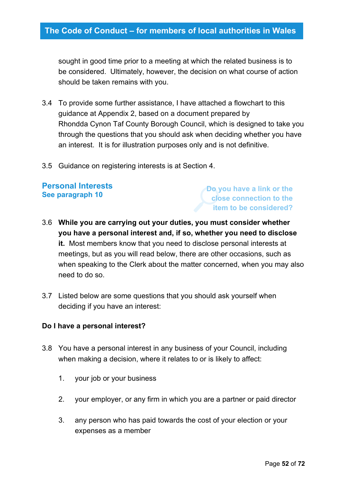sought in good time prior to a meeting at which the related business is to be considered. Ultimately, however, the decision on what course of action should be taken remains with you.

- 3.4 To provide some further assistance, I have attached a flowchart to this guidance at Appendix 2, based on a document prepared by Rhondda Cynon Taf County Borough Council, which is designed to take you through the questions that you should ask when deciding whether you have an interest. It is for illustration purposes only and is not definitive.
- 3.5 Guidance on registering interests is at Section 4.

#### **Personal Interests See paragraph 10**

**Do you have a link or the close connection to the item to be considered?**

- 3.6 **While you are carrying out your duties, you must consider whether you have a personal interest and, if so, whether you need to disclose it.** Most members know that you need to disclose personal interests at meetings, but as you will read below, there are other occasions, such as when speaking to the Clerk about the matter concerned, when you may also need to do so.
- 3.7 Listed below are some questions that you should ask yourself when deciding if you have an interest:

#### **Do I have a personal interest?**

- 3.8 You have a personal interest in any business of your Council, including when making a decision, where it relates to or is likely to affect:
	- 1. your job or your business
	- 2. your employer, or any firm in which you are a partner or paid director
	- 3. any person who has paid towards the cost of your election or your expenses as a member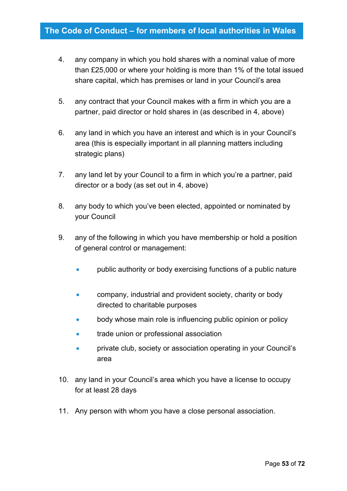- 4. any company in which you hold shares with a nominal value of more than £25,000 or where your holding is more than 1% of the total issued share capital, which has premises or land in your Council's area
- 5. any contract that your Council makes with a firm in which you are a partner, paid director or hold shares in (as described in 4, above)
- 6. any land in which you have an interest and which is in your Council's area (this is especially important in all planning matters including strategic plans)
- 7. any land let by your Council to a firm in which you're a partner, paid director or a body (as set out in 4, above)
- 8. any body to which you've been elected, appointed or nominated by your Council
- 9. any of the following in which you have membership or hold a position of general control or management:
	- public authority or body exercising functions of a public nature
	- company, industrial and provident society, charity or body directed to charitable purposes
	- body whose main role is influencing public opinion or policy
	- trade union or professional association
	- private club, society or association operating in your Council's area
- 10. any land in your Council's area which you have a license to occupy for at least 28 days
- 11. Any person with whom you have a close personal association.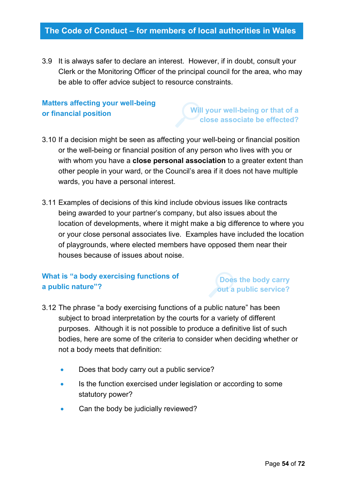3.9 It is always safer to declare an interest. However, if in doubt, consult your Clerk or the Monitoring Officer of the principal council for the area, who may be able to offer advice subject to resource constraints.

### **Matters affecting your well-being or financial position**

**Will your well-being or that of a close associate be effected?**

- 3.10 If a decision might be seen as affecting your well-being or financial position or the well-being or financial position of any person who lives with you or with whom you have a **close personal association** to a greater extent than other people in your ward, or the Council's area if it does not have multiple wards, you have a personal interest.
- 3.11 Examples of decisions of this kind include obvious issues like contracts being awarded to your partner's company, but also issues about the location of developments, where it might make a big difference to where you or your close personal associates live. Examples have included the location of playgrounds, where elected members have opposed them near their houses because of issues about noise.

### **What is "a body exercising functions of a public nature"?**

**Does the body carry out a public service?**

- 3.12 The phrase "a body exercising functions of a public nature" has been subject to broad interpretation by the courts for a variety of different purposes. Although it is not possible to produce a definitive list of such bodies, here are some of the criteria to consider when deciding whether or not a body meets that definition:
	- Does that body carry out a public service?
	- Is the function exercised under legislation or according to some statutory power?
	- Can the body be judicially reviewed?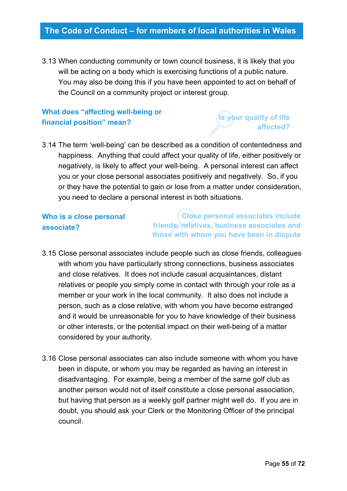3.13 When conducting community or town council business, it is likely that you will be acting on a body which is exercising functions of a public nature. You may also be doing this if you have been appointed to act on behalf of the Council on a community project or interest group.

### **What does "affecting well-being or financial position" mean?**

### **Is your quality of life affected?**

3.14 The term 'well-being' can be described as a condition of contentedness and happiness. Anything that could affect your quality of life, either positively or negatively, is likely to affect your well-being. A personal interest can affect you or your close personal associates positively and negatively. So, if you or they have the potential to gain or lose from a matter under consideration, you need to declare a personal interest in both situations.

### **Who is a close personal associate?**

**Close personal associates include friends, relatives, business associates and those with whom you have been in dispute** 

- 3.15 Close personal associates include people such as close friends, colleagues with whom you have particularly strong connections, business associates and close relatives. It does not include casual acquaintances, distant relatives or people you simply come in contact with through your role as a member or your work in the local community. It also does not include a person, such as a close relative, with whom you have become estranged and it would be unreasonable for you to have knowledge of their business or other interests, or the potential impact on their well-being of a matter considered by your authority.
- 3.16 Close personal associates can also include someone with whom you have been in dispute, or whom you may be regarded as having an interest in disadvantaging. For example, being a member of the same golf club as another person would not of itself constitute a close personal association, but having that person as a weekly golf partner might well do. If you are in doubt, you should ask your Clerk or the Monitoring Officer of the principal council.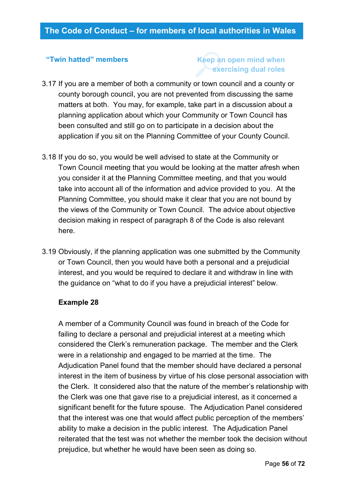#### **"Twin hatted" members**

### **Keep an open mind when exercising dual roles**

- 3.17 If you are a member of both a community or town council and a county or county borough council, you are not prevented from discussing the same matters at both. You may, for example, take part in a discussion about a planning application about which your Community or Town Council has been consulted and still go on to participate in a decision about the application if you sit on the Planning Committee of your County Council.
- 3.18 If you do so, you would be well advised to state at the Community or Town Council meeting that you would be looking at the matter afresh when you consider it at the Planning Committee meeting, and that you would take into account all of the information and advice provided to you. At the Planning Committee, you should make it clear that you are not bound by the views of the Community or Town Council. The advice about objective decision making in respect of paragraph 8 of the Code is also relevant here.
- 3.19 Obviously, if the planning application was one submitted by the Community or Town Council, then you would have both a personal and a prejudicial interest, and you would be required to declare it and withdraw in line with the guidance on "what to do if you have a prejudicial interest" below.

#### **Example 28**

A member of a Community Council was found in breach of the Code for failing to declare a personal and prejudicial interest at a meeting which considered the Clerk's remuneration package. The member and the Clerk were in a relationship and engaged to be married at the time. The Adjudication Panel found that the member should have declared a personal interest in the item of business by virtue of his close personal association with the Clerk. It considered also that the nature of the member's relationship with the Clerk was one that gave rise to a prejudicial interest, as it concerned a significant benefit for the future spouse. The Adjudication Panel considered that the interest was one that would affect public perception of the members' ability to make a decision in the public interest. The Adjudication Panel reiterated that the test was not whether the member took the decision without prejudice, but whether he would have been seen as doing so.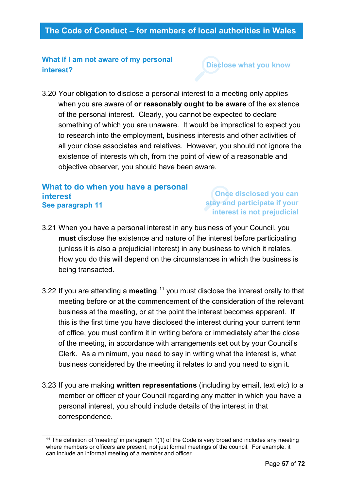#### **What if I am not aware of my personal interest?**

**Disclose what you know**

3.20 Your obligation to disclose a personal interest to a meeting only applies when you are aware of **or reasonably ought to be aware** of the existence of the personal interest. Clearly, you cannot be expected to declare something of which you are unaware. It would be impractical to expect you to research into the employment, business interests and other activities of all your close associates and relatives. However, you should not ignore the existence of interests which, from the point of view of a reasonable and objective observer, you should have been aware.

#### **What to do when you have a personal interest See paragraph 11**

**Once disclosed you can stay and participate if your interest is not prejudicial**

- 3.21 When you have a personal interest in any business of your Council, you **must** disclose the existence and nature of the interest before participating (unless it is also a prejudicial interest) in any business to which it relates. How you do this will depend on the circumstances in which the business is being transacted.
- 3.22 If you are attending a **meeting**, [11](#page-56-0) you must disclose the interest orally to that meeting before or at the commencement of the consideration of the relevant business at the meeting, or at the point the interest becomes apparent. If this is the first time you have disclosed the interest during your current term of office, you must confirm it in writing before or immediately after the close of the meeting, in accordance with arrangements set out by your Council's Clerk. As a minimum, you need to say in writing what the interest is, what business considered by the meeting it relates to and you need to sign it.
- 3.23 If you are making **written representations** (including by email, text etc) to a member or officer of your Council regarding any matter in which you have a personal interest, you should include details of the interest in that correspondence.

<span id="page-56-0"></span><sup>11</sup> The definition of 'meeting' in paragraph 1(1) of the Code is very broad and includes any meeting where members or officers are present, not just formal meetings of the council. For example, it can include an informal meeting of a member and officer.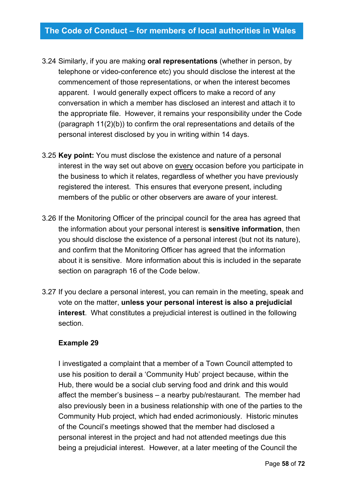- 3.24 Similarly, if you are making **oral representations** (whether in person, by telephone or video-conference etc) you should disclose the interest at the commencement of those representations, or when the interest becomes apparent. I would generally expect officers to make a record of any conversation in which a member has disclosed an interest and attach it to the appropriate file. However, it remains your responsibility under the Code (paragraph 11(2)(b)) to confirm the oral representations and details of the personal interest disclosed by you in writing within 14 days.
- 3.25 **Key point:** You must disclose the existence and nature of a personal interest in the way set out above on every occasion before you participate in the business to which it relates, regardless of whether you have previously registered the interest. This ensures that everyone present, including members of the public or other observers are aware of your interest.
- 3.26 If the Monitoring Officer of the principal council for the area has agreed that the information about your personal interest is **sensitive information**, then you should disclose the existence of a personal interest (but not its nature), and confirm that the Monitoring Officer has agreed that the information about it is sensitive. More information about this is included in the separate section on paragraph 16 of the Code below.
- 3.27 If you declare a personal interest, you can remain in the meeting, speak and vote on the matter, **unless your personal interest is also a prejudicial interest**. What constitutes a prejudicial interest is outlined in the following section.

#### **Example 29**

I investigated a complaint that a member of a Town Council attempted to use his position to derail a 'Community Hub' project because, within the Hub, there would be a social club serving food and drink and this would affect the member's business – a nearby pub/restaurant. The member had also previously been in a business relationship with one of the parties to the Community Hub project, which had ended acrimoniously. Historic minutes of the Council's meetings showed that the member had disclosed a personal interest in the project and had not attended meetings due this being a prejudicial interest. However, at a later meeting of the Council the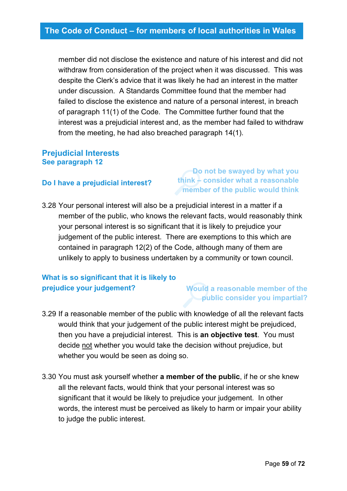member did not disclose the existence and nature of his interest and did not withdraw from consideration of the project when it was discussed. This was despite the Clerk's advice that it was likely he had an interest in the matter under discussion. A Standards Committee found that the member had failed to disclose the existence and nature of a personal interest, in breach of paragraph 11(1) of the Code. The Committee further found that the interest was a prejudicial interest and, as the member had failed to withdraw from the meeting, he had also breached paragraph 14(1).

#### **Prejudicial Interests See paragraph 12**

#### **Do I have a prejudicial interest?**

#### **Do not be swayed by what you think – consider what a reasonable member of the public would think**

3.28 Your personal interest will also be a prejudicial interest in a matter if a member of the public, who knows the relevant facts, would reasonably think your personal interest is so significant that it is likely to prejudice your judgement of the public interest. There are exemptions to this which are contained in paragraph 12(2) of the Code, although many of them are unlikely to apply to business undertaken by a community or town council.

## **What is so significant that it is likely to prejudice your judgement?**

#### **Would a reasonable member of the public consider you impartial?**

- 3.29 If a reasonable member of the public with knowledge of all the relevant facts would think that your judgement of the public interest might be prejudiced, then you have a prejudicial interest. This is **an objective test**. You must decide not whether you would take the decision without prejudice, but whether you would be seen as doing so.
- 3.30 You must ask yourself whether **a member of the public**, if he or she knew all the relevant facts, would think that your personal interest was so significant that it would be likely to prejudice your judgement. In other words, the interest must be perceived as likely to harm or impair your ability to judge the public interest.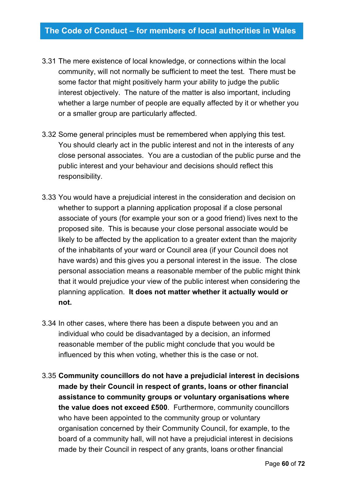- 3.31 The mere existence of local knowledge, or connections within the local community, will not normally be sufficient to meet the test. There must be some factor that might positively harm your ability to judge the public interest objectively. The nature of the matter is also important, including whether a large number of people are equally affected by it or whether you or a smaller group are particularly affected.
- 3.32 Some general principles must be remembered when applying this test. You should clearly act in the public interest and not in the interests of any close personal associates. You are a custodian of the public purse and the public interest and your behaviour and decisions should reflect this responsibility.
- 3.33 You would have a prejudicial interest in the consideration and decision on whether to support a planning application proposal if a close personal associate of yours (for example your son or a good friend) lives next to the proposed site. This is because your close personal associate would be likely to be affected by the application to a greater extent than the majority of the inhabitants of your ward or Council area (if your Council does not have wards) and this gives you a personal interest in the issue. The close personal association means a reasonable member of the public might think that it would prejudice your view of the public interest when considering the planning application. **It does not matter whether it actually would or not.**
- 3.34 In other cases, where there has been a dispute between you and an individual who could be disadvantaged by a decision, an informed reasonable member of the public might conclude that you would be influenced by this when voting, whether this is the case or not.
- 3.35 **Community councillors do not have a prejudicial interest in decisions made by their Council in respect of grants, loans or other financial assistance to community groups or voluntary organisations where the value does not exceed £500**. Furthermore, community councillors who have been appointed to the community group or voluntary organisation concerned by their Community Council, for example, to the board of a community hall, will not have a prejudicial interest in decisions made by their Council in respect of any grants, loans orother financial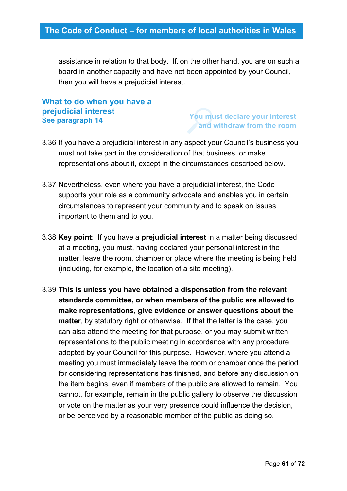assistance in relation to that body. If, on the other hand, you are on such a board in another capacity and have not been appointed by your Council, then you will have a prejudicial interest.

#### **What to do when you have a prejudicial interest See paragraph 14**

#### **You must declare your interest and withdraw from the room**

- 3.36 If you have a prejudicial interest in any aspect your Council's business you must not take part in the consideration of that business, or make representations about it, except in the circumstances described below.
- 3.37 Nevertheless, even where you have a prejudicial interest, the Code supports your role as a community advocate and enables you in certain circumstances to represent your community and to speak on issues important to them and to you.
- 3.38 **Key point**: If you have a **prejudicial interest** in a matter being discussed at a meeting, you must, having declared your personal interest in the matter, leave the room, chamber or place where the meeting is being held (including, for example, the location of a site meeting).
- 3.39 **This is unless you have obtained a dispensation from the relevant standards committee, or when members of the public are allowed to make representations, give evidence or answer questions about the matter**, by statutory right or otherwise. If that the latter is the case, you can also attend the meeting for that purpose, or you may submit written representations to the public meeting in accordance with any procedure adopted by your Council for this purpose. However, where you attend a meeting you must immediately leave the room or chamber once the period for considering representations has finished, and before any discussion on the item begins, even if members of the public are allowed to remain. You cannot, for example, remain in the public gallery to observe the discussion or vote on the matter as your very presence could influence the decision, or be perceived by a reasonable member of the public as doing so.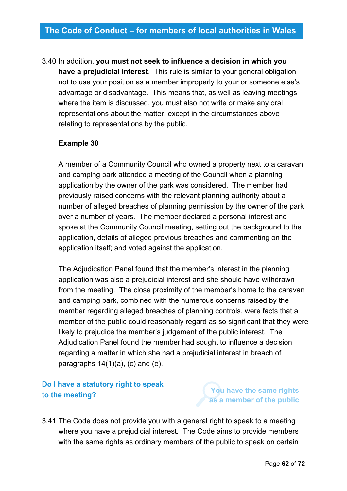# 3.40 In addition, **you must not seek to influence a decision in which you**

**have a prejudicial interest**. This rule is similar to your general obligation not to use your position as a member improperly to your or someone else's advantage or disadvantage. This means that, as well as leaving meetings where the item is discussed, you must also not write or make any oral representations about the matter, except in the circumstances above relating to representations by the public.

#### **Example 30**

A member of a Community Council who owned a property next to a caravan and camping park attended a meeting of the Council when a planning application by the owner of the park was considered. The member had previously raised concerns with the relevant planning authority about a number of alleged breaches of planning permission by the owner of the park over a number of years. The member declared a personal interest and spoke at the Community Council meeting, setting out the background to the application, details of alleged previous breaches and commenting on the application itself; and voted against the application.

The Adjudication Panel found that the member's interest in the planning application was also a prejudicial interest and she should have withdrawn from the meeting. The close proximity of the member's home to the caravan and camping park, combined with the numerous concerns raised by the member regarding alleged breaches of planning controls, were facts that a member of the public could reasonably regard as so significant that they were likely to prejudice the member's judgement of the public interest. The Adjudication Panel found the member had sought to influence a decision regarding a matter in which she had a prejudicial interest in breach of paragraphs  $14(1)(a)$ , (c) and (e).

### **Do I have a statutory right to speak to the meeting?**

**You have the same rights as a member of the public**

3.41 The Code does not provide you with a general right to speak to a meeting where you have a prejudicial interest. The Code aims to provide members with the same rights as ordinary members of the public to speak on certain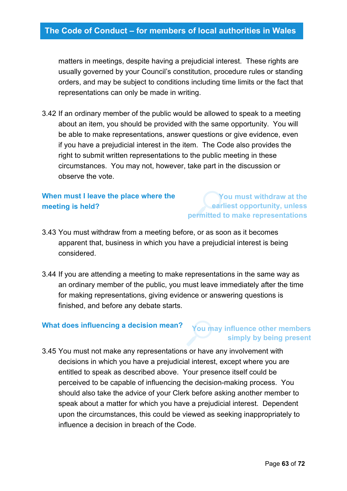matters in meetings, despite having a prejudicial interest. These rights are usually governed by your Council's constitution, procedure rules or standing orders, and may be subject to conditions including time limits or the fact that representations can only be made in writing.

3.42 If an ordinary member of the public would be allowed to speak to a meeting about an item, you should be provided with the same opportunity. You will be able to make representations, answer questions or give evidence, even if you have a prejudicial interest in the item. The Code also provides the right to submit written representations to the public meeting in these circumstances. You may not, however, take part in the discussion or observe the vote.

### **When must I leave the place where the meeting is held?**

**You must withdraw at the earliest opportunity, unless permitted to make representations**

- 3.43 You must withdraw from a meeting before, or as soon as it becomes apparent that, business in which you have a prejudicial interest is being considered.
- 3.44 If you are attending a meeting to make representations in the same way as an ordinary member of the public, you must leave immediately after the time for making representations, giving evidence or answering questions is finished, and before any debate starts.

#### **What does influencing a decision mean?**

#### **You may influence other members simply by being present**

3.45 You must not make any representations or have any involvement with decisions in which you have a prejudicial interest, except where you are entitled to speak as described above. Your presence itself could be perceived to be capable of influencing the decision-making process. You should also take the advice of your Clerk before asking another member to speak about a matter for which you have a prejudicial interest. Dependent upon the circumstances, this could be viewed as seeking inappropriately to influence a decision in breach of the Code.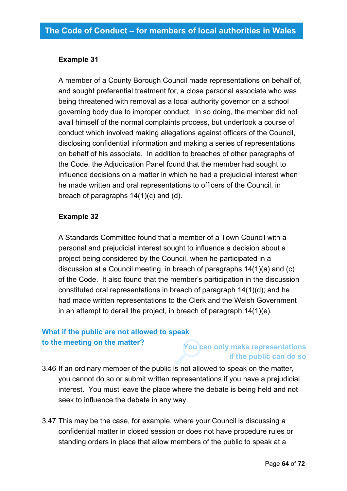#### **Example 31**

A member of a County Borough Council made representations on behalf of, and sought preferential treatment for, a close personal associate who was being threatened with removal as a local authority governor on a school governing body due to improper conduct. In so doing, the member did not avail himself of the normal complaints process, but undertook a course of conduct which involved making allegations against officers of the Council, disclosing confidential information and making a series of representations on behalf of his associate. In addition to breaches of other paragraphs of the Code, the Adjudication Panel found that the member had sought to influence decisions on a matter in which he had a prejudicial interest when he made written and oral representations to officers of the Council, in breach of paragraphs 14(1)(c) and (d).

#### **Example 32**

A Standards Committee found that a member of a Town Council with a personal and prejudicial interest sought to influence a decision about a project being considered by the Council, when he participated in a discussion at a Council meeting, in breach of paragraphs 14(1)(a) and (c) of the Code. It also found that the member's participation in the discussion constituted oral representations in breach of paragraph 14(1)(d); and he had made written representations to the Clerk and the Welsh Government in an attempt to derail the project, in breach of paragraph 14(1)(e).

### **What if the public are not allowed to speak to the meeting on the matter?**

### **You can only make representations if the public can do so**

3.46 If an ordinary member of the public is not allowed to speak on the matter, you cannot do so or submit written representations if you have a prejudicial interest. You must leave the place where the debate is being held and not seek to influence the debate in any way.

3.47 This may be the case, for example, where your Council is discussing a confidential matter in closed session or does not have procedure rules or standing orders in place that allow members of the public to speak at a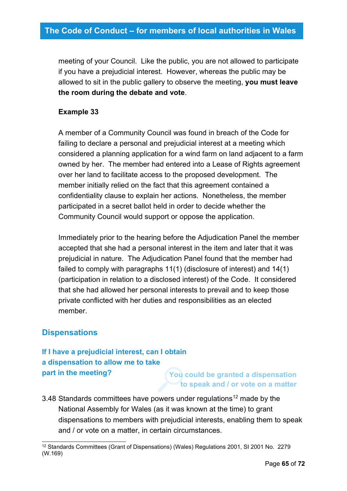meeting of your Council. Like the public, you are not allowed to participate if you have a prejudicial interest. However, whereas the public may be allowed to sit in the public gallery to observe the meeting, **you must leave the room during the debate and vote**.

#### **Example 33**

A member of a Community Council was found in breach of the Code for failing to declare a personal and prejudicial interest at a meeting which considered a planning application for a wind farm on land adjacent to a farm owned by her. The member had entered into a Lease of Rights agreement over her land to facilitate access to the proposed development. The member initially relied on the fact that this agreement contained a confidentiality clause to explain her actions. Nonetheless, the member participated in a secret ballot held in order to decide whether the Community Council would support or oppose the application.

Immediately prior to the hearing before the Adjudication Panel the member accepted that she had a personal interest in the item and later that it was prejudicial in nature. The Adjudication Panel found that the member had failed to comply with paragraphs 11(1) (disclosure of interest) and 14(1) (participation in relation to a disclosed interest) of the Code. It considered that she had allowed her personal interests to prevail and to keep those private conflicted with her duties and responsibilities as an elected member.

### **Dispensations**

### **If I have a prejudicial interest, can I obtain a dispensation to allow me to take part in the meeting?**

**You could be granted a dispensation to speak and / or vote on a matter**

3.48 Standards committees have powers under regulations<sup>[12](#page-64-0)</sup> made by the National Assembly for Wales (as it was known at the time) to grant dispensations to members with prejudicial interests, enabling them to speak and / or vote on a matter, in certain circumstances.

<span id="page-64-0"></span><sup>12</sup> Standards Committees (Grant of Dispensations) (Wales) Regulations 2001, SI 2001 No. 2279 (W.169)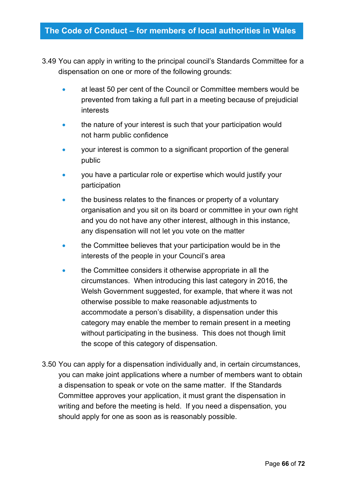- 3.49 You can apply in writing to the principal council's Standards Committee for a dispensation on one or more of the following grounds:
	- at least 50 per cent of the Council or Committee members would be prevented from taking a full part in a meeting because of prejudicial interests
	- the nature of your interest is such that your participation would not harm public confidence
	- your interest is common to a significant proportion of the general public
	- you have a particular role or expertise which would justify your participation
	- the business relates to the finances or property of a voluntary organisation and you sit on its board or committee in your own right and you do not have any other interest, although in this instance, any dispensation will not let you vote on the matter
	- the Committee believes that your participation would be in the interests of the people in your Council's area
	- the Committee considers it otherwise appropriate in all the circumstances. When introducing this last category in 2016, the Welsh Government suggested, for example, that where it was not otherwise possible to make reasonable adjustments to accommodate a person's disability, a dispensation under this category may enable the member to remain present in a meeting without participating in the business. This does not though limit the scope of this category of dispensation.
- 3.50 You can apply for a dispensation individually and, in certain circumstances, you can make joint applications where a number of members want to obtain a dispensation to speak or vote on the same matter. If the Standards Committee approves your application, it must grant the dispensation in writing and before the meeting is held. If you need a dispensation, you should apply for one as soon as is reasonably possible.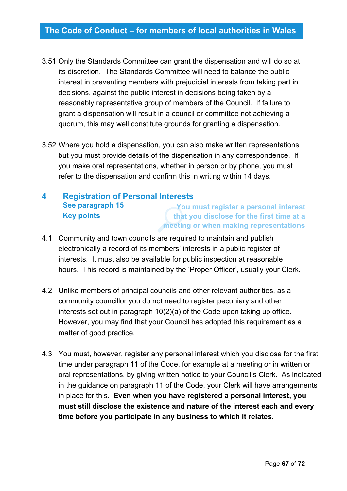- 3.51 Only the Standards Committee can grant the dispensation and will do so at its discretion. The Standards Committee will need to balance the public interest in preventing members with prejudicial interests from taking part in decisions, against the public interest in decisions being taken by a reasonably representative group of members of the Council. If failure to grant a dispensation will result in a council or committee not achieving a quorum, this may well constitute grounds for granting a dispensation.
- 3.52 Where you hold a dispensation, you can also make written representations but you must provide details of the dispensation in any correspondence. If you make oral representations, whether in person or by phone, you must refer to the dispensation and confirm this in writing within 14 days.

#### **4 Registration of Personal Interests See paragraph 15 Key points You must register a personal interest that you disclose for the first time at a meeting or when making representations**

- 4.1 Community and town councils are required to maintain and publish electronically a record of its members' interests in a public register of interests. It must also be available for public inspection at reasonable hours. This record is maintained by the 'Proper Officer', usually your Clerk.
- 4.2 Unlike members of principal councils and other relevant authorities, as a community councillor you do not need to register pecuniary and other interests set out in paragraph 10(2)(a) of the Code upon taking up office. However, you may find that your Council has adopted this requirement as a matter of good practice.
- 4.3 You must, however, register any personal interest which you disclose for the first time under paragraph 11 of the Code, for example at a meeting or in written or oral representations, by giving written notice to your Council's Clerk. As indicated in the guidance on paragraph 11 of the Code, your Clerk will have arrangements in place for this. **Even when you have registered a personal interest, you must still disclose the existence and nature of the interest each and every time before you participate in any business to which it relates**.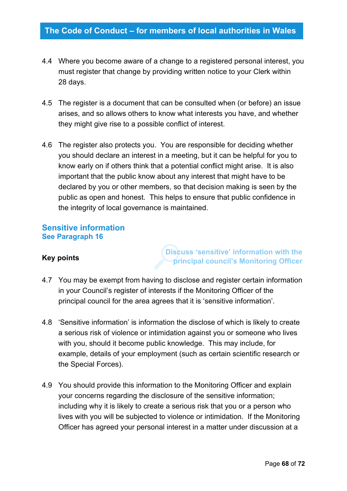- 4.4 Where you become aware of a change to a registered personal interest, you must register that change by providing written notice to your Clerk within 28 days.
- 4.5 The register is a document that can be consulted when (or before) an issue arises, and so allows others to know what interests you have, and whether they might give rise to a possible conflict of interest.
- 4.6 The register also protects you. You are responsible for deciding whether you should declare an interest in a meeting, but it can be helpful for you to know early on if others think that a potential conflict might arise. It is also important that the public know about any interest that might have to be declared by you or other members, so that decision making is seen by the public as open and honest. This helps to ensure that public confidence in the integrity of local governance is maintained.

#### **Sensitive information See Paragraph 16**

#### **Key points**

**Discuss 'sensitive' information with the principal council's Monitoring Officer**

- 4.7 You may be exempt from having to disclose and register certain information in your Council's register of interests if the Monitoring Officer of the principal council for the area agrees that it is 'sensitive information'.
- 4.8 'Sensitive information' is information the disclose of which is likely to create a serious risk of violence or intimidation against you or someone who lives with you, should it become public knowledge. This may include, for example, details of your employment (such as certain scientific research or the Special Forces).
- 4.9 You should provide this information to the Monitoring Officer and explain your concerns regarding the disclosure of the sensitive information; including why it is likely to create a serious risk that you or a person who lives with you will be subjected to violence or intimidation. If the Monitoring Officer has agreed your personal interest in a matter under discussion at a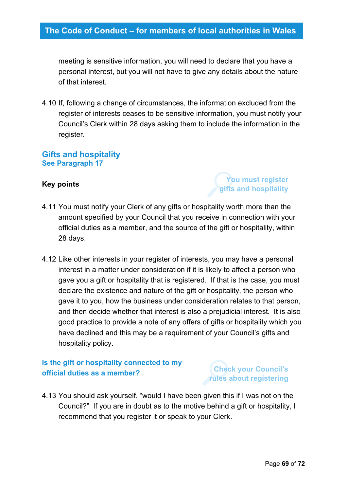meeting is sensitive information, you will need to declare that you have a personal interest, but you will not have to give any details about the nature of that interest.

4.10 If, following a change of circumstances, the information excluded from the register of interests ceases to be sensitive information, you must notify your Council's Clerk within 28 days asking them to include the information in the register.

#### **Gifts and hospitality See Paragraph 17**

#### **Key points**

### **You must register gifts and hospitality**

- 4.11 You must notify your Clerk of any gifts or hospitality worth more than the amount specified by your Council that you receive in connection with your official duties as a member, and the source of the gift or hospitality, within 28 days.
- 4.12 Like other interests in your register of interests, you may have a personal interest in a matter under consideration if it is likely to affect a person who gave you a gift or hospitality that is registered. If that is the case, you must declare the existence and nature of the gift or hospitality, the person who gave it to you, how the business under consideration relates to that person, and then decide whether that interest is also a prejudicial interest. It is also good practice to provide a note of any offers of gifts or hospitality which you have declined and this may be a requirement of your Council's gifts and hospitality policy.

### **Is the gift or hospitality connected to my official duties as a member?**

### **Check your Council's rules about registering**

4.13 You should ask yourself, "would I have been given this if I was not on the Council?" If you are in doubt as to the motive behind a gift or hospitality, I recommend that you register it or speak to your Clerk.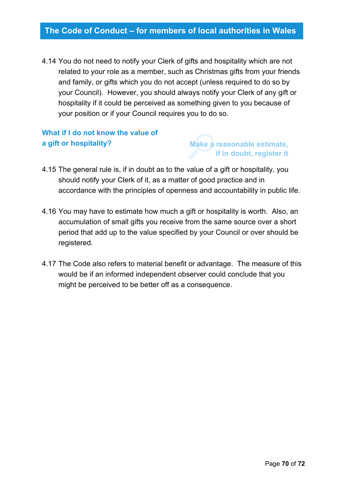4.14 You do not need to notify your Clerk of gifts and hospitality which are not related to your role as a member, such as Christmas gifts from your friends and family, or gifts which you do not accept (unless required to do so by your Council). However, you should always notify your Clerk of any gift or hospitality if it could be perceived as something given to you because of your position or if your Council requires you to do so.

### **What if I do not know the value of a gift or hospitality?**

### **Make a reasonable estimate, if in doubt, register it**

- 4.15 The general rule is, if in doubt as to the value of a gift or hospitality, you should notify your Clerk of it, as a matter of good practice and in accordance with the principles of openness and accountability in public life.
- 4.16 You may have to estimate how much a gift or hospitality is worth. Also, an accumulation of small gifts you receive from the same source over a short period that add up to the value specified by your Council or over should be registered.
- 4.17 The Code also refers to material benefit or advantage. The measure of this would be if an informed independent observer could conclude that you might be perceived to be better off as a consequence.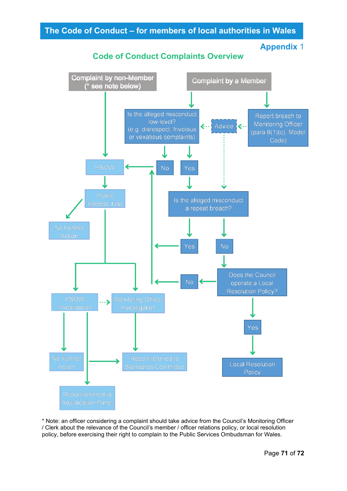







\* Note: an officer considering a complaint should take advice from the Council's Monitoring Officer / Clerk about the relevance of the Council's member / officer relations policy, or local resolution policy, before exercising their right to complain to the Public Services Ombudsman for Wales.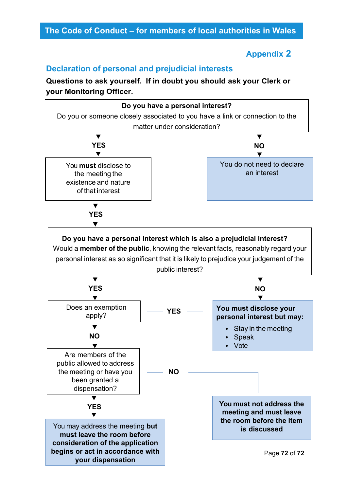### **Appendix 2**

### **Declaration of personal and prejudicial interests**

**Questions to ask yourself. If in doubt you should ask your Clerk or your Monitoring Officer.**